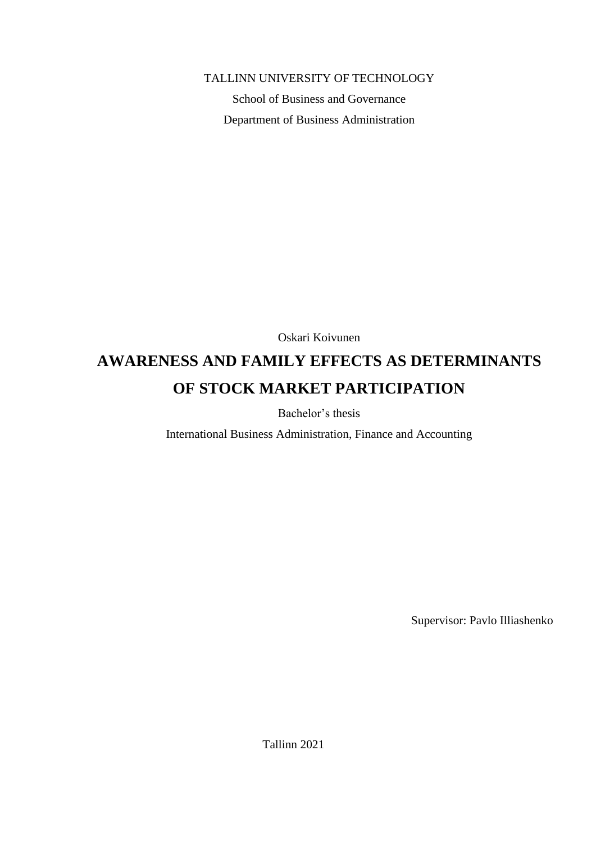#### TALLINN UNIVERSITY OF TECHNOLOGY

School of Business and Governance Department of Business Administration

Oskari Koivunen

# **AWARENESS AND FAMILY EFFECTS AS DETERMINANTS OF STOCK MARKET PARTICIPATION**

Bachelor's thesis

International Business Administration, Finance and Accounting

Supervisor: Pavlo Illiashenko

Tallinn 2021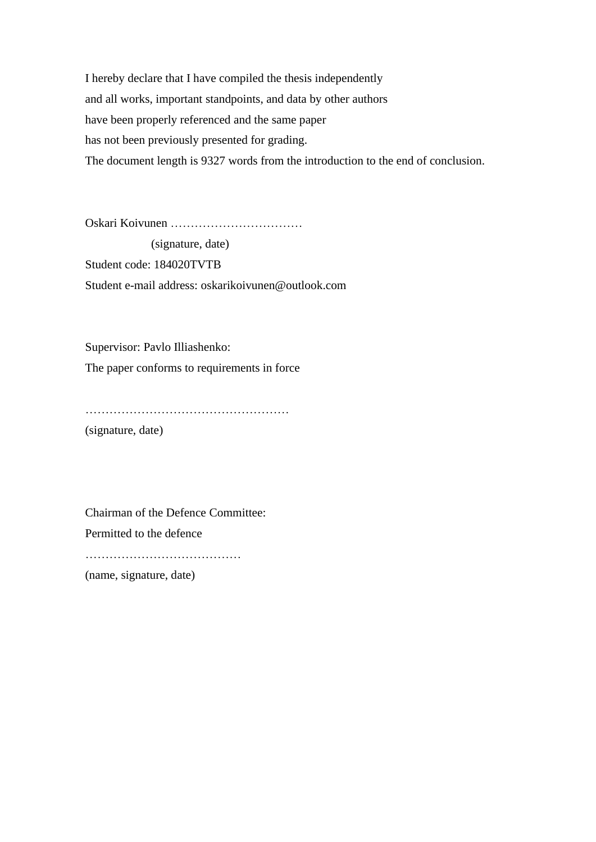I hereby declare that I have compiled the thesis independently and all works, important standpoints, and data by other authors have been properly referenced and the same paper has not been previously presented for grading. The document length is 9327 words from the introduction to the end of conclusion.

Oskari Koivunen ……………………………

 (signature, date) Student code: 184020TVTB Student e-mail address: oskarikoivunen@outlook.com

Supervisor: Pavlo Illiashenko: The paper conforms to requirements in force

…………………………………………… (signature, date)

Chairman of the Defence Committee: Permitted to the defence ……………………………………… (name, signature, date)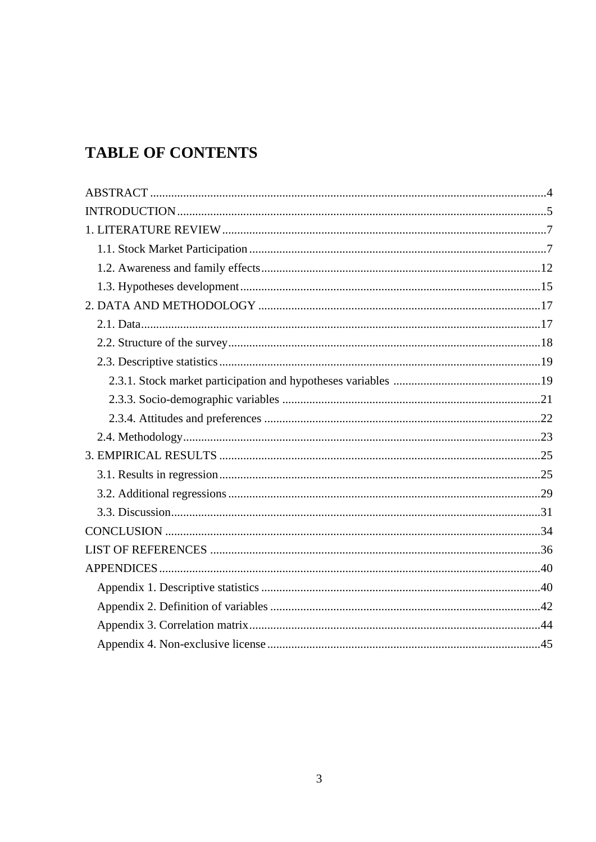# **TABLE OF CONTENTS**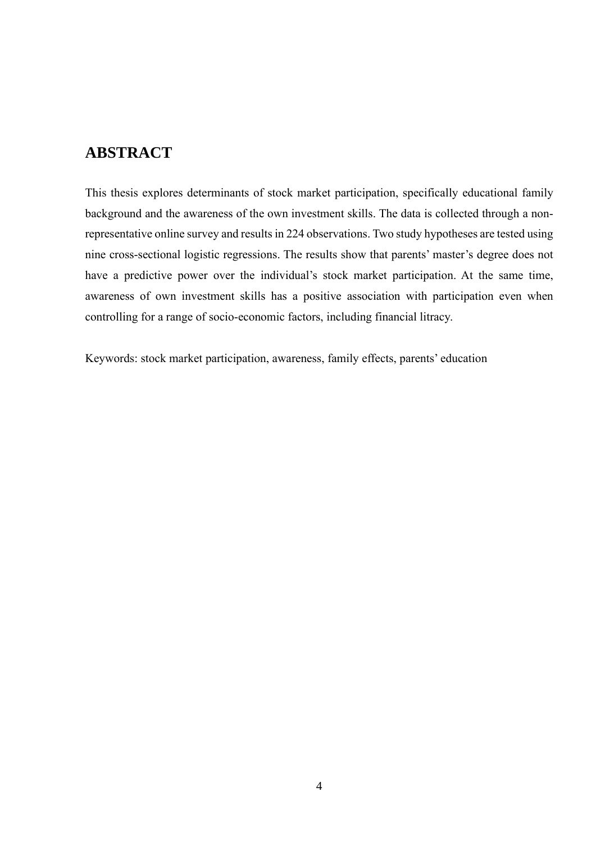## <span id="page-3-0"></span>**ABSTRACT**

This thesis explores determinants of stock market participation, specifically educational family background and the awareness of the own investment skills. The data is collected through a nonrepresentative online survey and results in 224 observations. Two study hypotheses are tested using nine cross-sectional logistic regressions. The results show that parents' master's degree does not have a predictive power over the individual's stock market participation. At the same time, awareness of own investment skills has a positive association with participation even when controlling for a range of socio-economic factors, including financial litracy.

Keywords: stock market participation, awareness, family effects, parents' education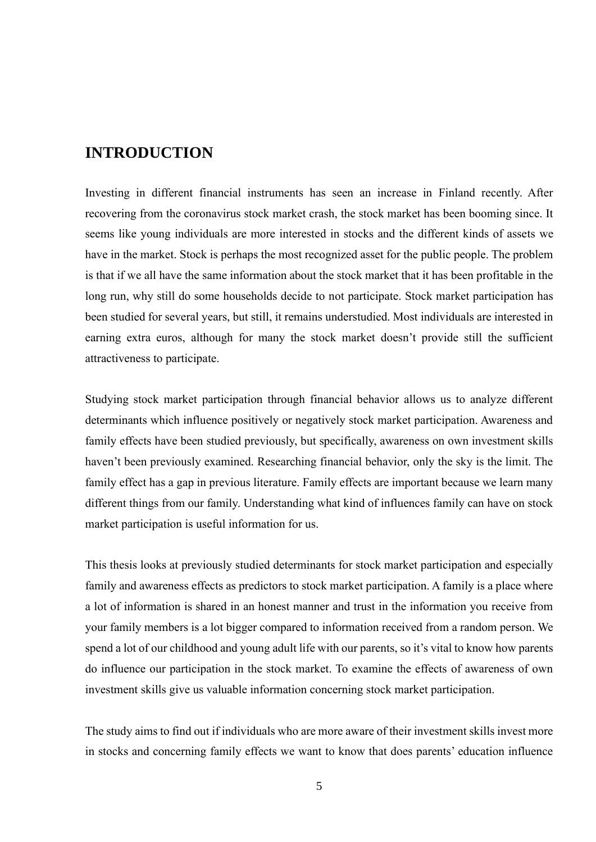## <span id="page-4-0"></span>**INTRODUCTION**

Investing in different financial instruments has seen an increase in Finland recently. After recovering from the coronavirus stock market crash, the stock market has been booming since. It seems like young individuals are more interested in stocks and the different kinds of assets we have in the market. Stock is perhaps the most recognized asset for the public people. The problem is that if we all have the same information about the stock market that it has been profitable in the long run, why still do some households decide to not participate. Stock market participation has been studied for several years, but still, it remains understudied. Most individuals are interested in earning extra euros, although for many the stock market doesn't provide still the sufficient attractiveness to participate.

Studying stock market participation through financial behavior allows us to analyze different determinants which influence positively or negatively stock market participation. Awareness and family effects have been studied previously, but specifically, awareness on own investment skills haven't been previously examined. Researching financial behavior, only the sky is the limit. The family effect has a gap in previous literature. Family effects are important because we learn many different things from our family. Understanding what kind of influences family can have on stock market participation is useful information for us.

This thesis looks at previously studied determinants for stock market participation and especially family and awareness effects as predictors to stock market participation. A family is a place where a lot of information is shared in an honest manner and trust in the information you receive from your family members is a lot bigger compared to information received from a random person. We spend a lot of our childhood and young adult life with our parents, so it's vital to know how parents do influence our participation in the stock market. To examine the effects of awareness of own investment skills give us valuable information concerning stock market participation.

The study aims to find out if individuals who are more aware of their investment skills invest more in stocks and concerning family effects we want to know that does parents' education influence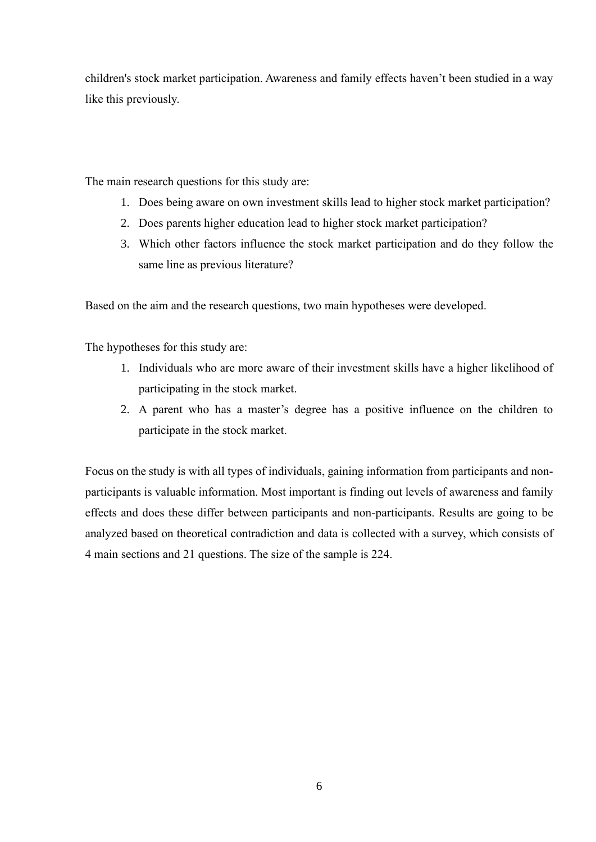children's stock market participation. Awareness and family effects haven't been studied in a way like this previously.

The main research questions for this study are:

- 1. Does being aware on own investment skills lead to higher stock market participation?
- 2. Does parents higher education lead to higher stock market participation?
- 3. Which other factors influence the stock market participation and do they follow the same line as previous literature?

Based on the aim and the research questions, two main hypotheses were developed.

The hypotheses for this study are:

- 1. Individuals who are more aware of their investment skills have a higher likelihood of participating in the stock market.
- 2. A parent who has a master's degree has a positive influence on the children to participate in the stock market.

Focus on the study is with all types of individuals, gaining information from participants and nonparticipants is valuable information. Most important is finding out levels of awareness and family effects and does these differ between participants and non-participants. Results are going to be analyzed based on theoretical contradiction and data is collected with a survey, which consists of 4 main sections and 21 questions. The size of the sample is 224.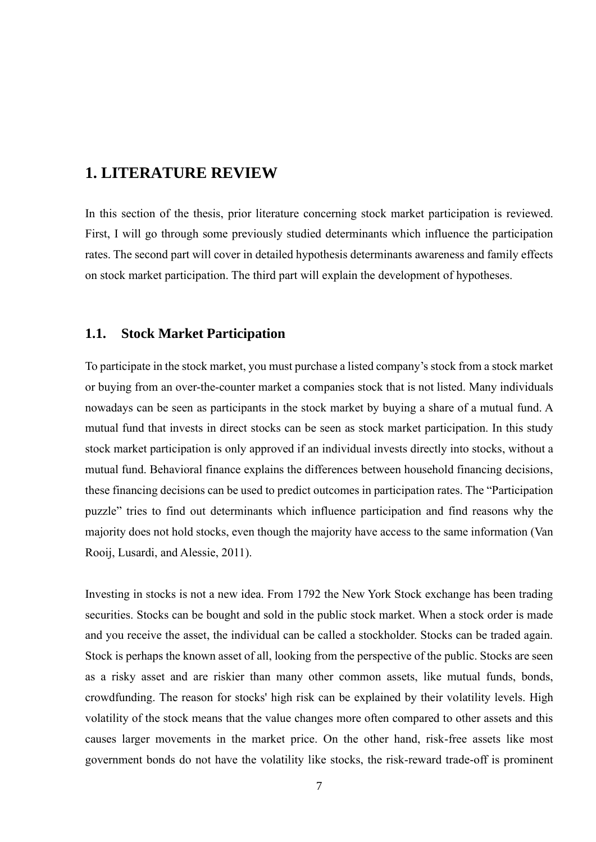## <span id="page-6-0"></span>**1. LITERATURE REVIEW**

In this section of the thesis, prior literature concerning stock market participation is reviewed. First, I will go through some previously studied determinants which influence the participation rates. The second part will cover in detailed hypothesis determinants awareness and family effects on stock market participation. The third part will explain the development of hypotheses.

#### **1.1. Stock Market Participation**

To participate in the stock market, you must purchase a listed company's stock from a stock market or buying from an over-the-counter market a companies stock that is not listed. Many individuals nowadays can be seen as participants in the stock market by buying a share of a mutual fund. A mutual fund that invests in direct stocks can be seen as stock market participation. In this study stock market participation is only approved if an individual invests directly into stocks, without a mutual fund. Behavioral finance explains the differences between household financing decisions, these financing decisions can be used to predict outcomes in participation rates. The "Participation puzzle" tries to find out determinants which influence participation and find reasons why the majority does not hold stocks, even though the majority have access to the same information (Van Rooij, Lusardi, and Alessie, 2011).

Investing in stocks is not a new idea. From 1792 the New York Stock exchange has been trading securities. Stocks can be bought and sold in the public stock market. When a stock order is made and you receive the asset, the individual can be called a stockholder. Stocks can be traded again. Stock is perhaps the known asset of all, looking from the perspective of the public. Stocks are seen as a risky asset and are riskier than many other common assets, like mutual funds, bonds, crowdfunding. The reason for stocks' high risk can be explained by their volatility levels. High volatility of the stock means that the value changes more often compared to other assets and this causes larger movements in the market price. On the other hand, risk-free assets like most government bonds do not have the volatility like stocks, the risk-reward trade-off is prominent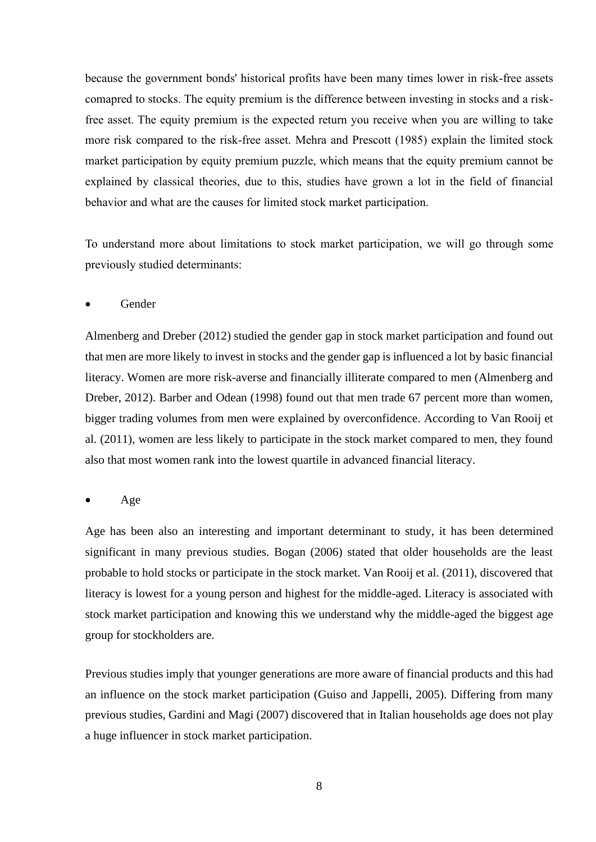because the government bonds' historical profits have been many times lower in risk-free assets comapred to stocks. The equity premium is the difference between investing in stocks and a riskfree asset. The equity premium is the expected return you receive when you are willing to take more risk compared to the risk-free asset. Mehra and Prescott (1985) explain the limited stock market participation by equity premium puzzle, which means that the equity premium cannot be explained by classical theories, due to this, studies have grown a lot in the field of financial behavior and what are the causes for limited stock market participation.

To understand more about limitations to stock market participation, we will go through some previously studied determinants:

• Gender

Almenberg and Dreber (2012) studied the gender gap in stock market participation and found out that men are more likely to invest in stocks and the gender gap is influenced a lot by basic financial literacy. Women are more risk-averse and financially illiterate compared to men (Almenberg and Dreber, 2012). Barber and Odean (1998) found out that men trade 67 percent more than women, bigger trading volumes from men were explained by overconfidence. According to Van Rooij et al. (2011), women are less likely to participate in the stock market compared to men, they found also that most women rank into the lowest quartile in advanced financial literacy.

• Age

Age has been also an interesting and important determinant to study, it has been determined significant in many previous studies. Bogan (2006) stated that older households are the least probable to hold stocks or participate in the stock market. Van Rooij et al. (2011), discovered that literacy is lowest for a young person and highest for the middle-aged. Literacy is associated with stock market participation and knowing this we understand why the middle-aged the biggest age group for stockholders are.

Previous studies imply that younger generations are more aware of financial products and this had an influence on the stock market participation (Guiso and Jappelli, 2005). Differing from many previous studies, Gardini and Magi (2007) discovered that in Italian households age does not play a huge influencer in stock market participation.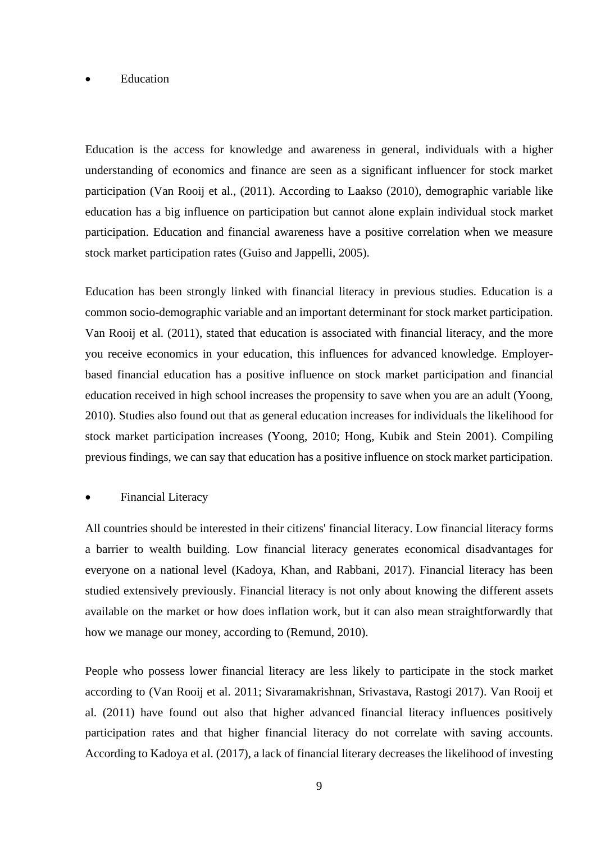#### **Education**

Education is the access for knowledge and awareness in general, individuals with a higher understanding of economics and finance are seen as a significant influencer for stock market participation (Van Rooij et al., (2011). According to Laakso (2010), demographic variable like education has a big influence on participation but cannot alone explain individual stock market participation. Education and financial awareness have a positive correlation when we measure stock market participation rates (Guiso and Jappelli, 2005).

Education has been strongly linked with financial literacy in previous studies. Education is a common socio-demographic variable and an important determinant for stock market participation. Van Rooij et al. (2011), stated that education is associated with financial literacy, and the more you receive economics in your education, this influences for advanced knowledge. Employerbased financial education has a positive influence on stock market participation and financial education received in high school increases the propensity to save when you are an adult (Yoong, 2010). Studies also found out that as general education increases for individuals the likelihood for stock market participation increases (Yoong, 2010; Hong, Kubik and Stein 2001). Compiling previous findings, we can say that education has a positive influence on stock market participation.

#### **Financial Literacy**

All countries should be interested in their citizens' financial literacy. Low financial literacy forms a barrier to wealth building. Low financial literacy generates economical disadvantages for everyone on a national level (Kadoya, Khan, and Rabbani, 2017). Financial literacy has been studied extensively previously. Financial literacy is not only about knowing the different assets available on the market or how does inflation work, but it can also mean straightforwardly that how we manage our money, according to (Remund, 2010).

People who possess lower financial literacy are less likely to participate in the stock market according to (Van Rooij et al. 2011; Sivaramakrishnan, Srivastava, Rastogi 2017). Van Rooij et al. (2011) have found out also that higher advanced financial literacy influences positively participation rates and that higher financial literacy do not correlate with saving accounts. According to Kadoya et al. (2017), a lack of financial literary decreases the likelihood of investing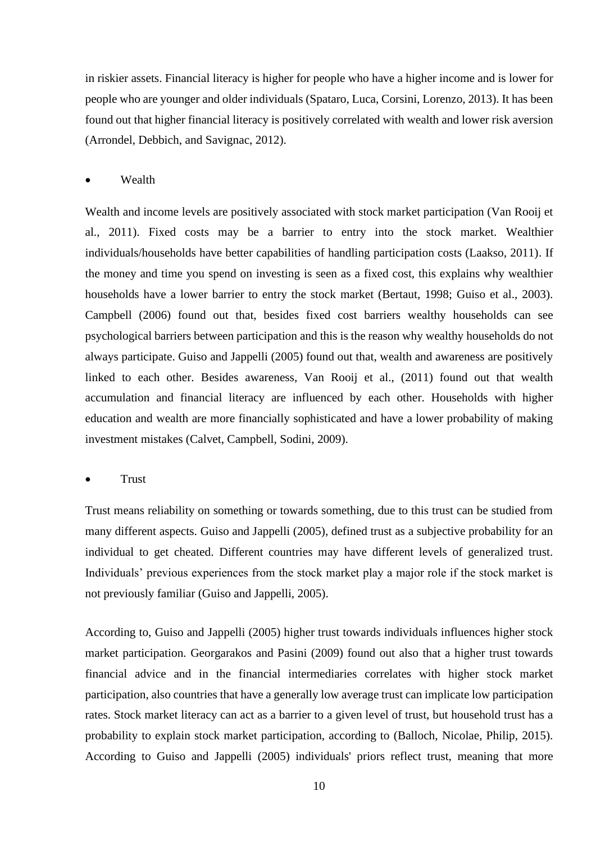in riskier assets. Financial literacy is higher for people who have a higher income and is lower for people who are younger and older individuals (Spataro, Luca, Corsini, Lorenzo, 2013). It has been found out that higher financial literacy is positively correlated with wealth and lower risk aversion (Arrondel, Debbich, and Savignac, 2012).

• Wealth

Wealth and income levels are positively associated with stock market participation (Van Rooij et al., 2011). Fixed costs may be a barrier to entry into the stock market. Wealthier individuals/households have better capabilities of handling participation costs (Laakso, 2011). If the money and time you spend on investing is seen as a fixed cost, this explains why wealthier households have a lower barrier to entry the stock market (Bertaut, 1998; Guiso et al., 2003). Campbell (2006) found out that, besides fixed cost barriers wealthy households can see psychological barriers between participation and this is the reason why wealthy households do not always participate. Guiso and Jappelli (2005) found out that, wealth and awareness are positively linked to each other. Besides awareness, Van Rooij et al., (2011) found out that wealth accumulation and financial literacy are influenced by each other. Households with higher education and wealth are more financially sophisticated and have a lower probability of making investment mistakes (Calvet, Campbell, Sodini, 2009).

**Trust** 

Trust means reliability on something or towards something, due to this trust can be studied from many different aspects. Guiso and Jappelli (2005), defined trust as a subjective probability for an individual to get cheated. Different countries may have different levels of generalized trust. Individuals' previous experiences from the stock market play a major role if the stock market is not previously familiar (Guiso and Jappelli, 2005).

According to, Guiso and Jappelli (2005) higher trust towards individuals influences higher stock market participation. Georgarakos and Pasini (2009) found out also that a higher trust towards financial advice and in the financial intermediaries correlates with higher stock market participation, also countries that have a generally low average trust can implicate low participation rates. Stock market literacy can act as a barrier to a given level of trust, but household trust has a probability to explain stock market participation, according to (Balloch, Nicolae, Philip, 2015). According to Guiso and Jappelli (2005) individuals' priors reflect trust, meaning that more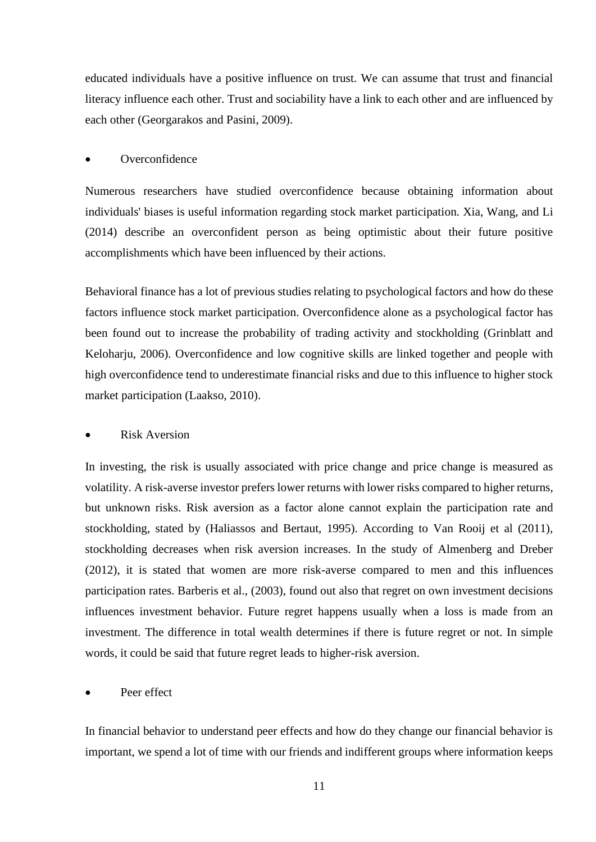educated individuals have a positive influence on trust. We can assume that trust and financial literacy influence each other. Trust and sociability have a link to each other and are influenced by each other (Georgarakos and Pasini, 2009).

#### **Overconfidence**

Numerous researchers have studied overconfidence because obtaining information about individuals' biases is useful information regarding stock market participation. Xia, Wang, and Li (2014) describe an overconfident person as being optimistic about their future positive accomplishments which have been influenced by their actions.

Behavioral finance has a lot of previous studies relating to psychological factors and how do these factors influence stock market participation. Overconfidence alone as a psychological factor has been found out to increase the probability of trading activity and stockholding (Grinblatt and Keloharju, 2006). Overconfidence and low cognitive skills are linked together and people with high overconfidence tend to underestimate financial risks and due to this influence to higher stock market participation (Laakso, 2010).

#### Risk Aversion

In investing, the risk is usually associated with price change and price change is measured as volatility. A risk-averse investor prefers lower returns with lower risks compared to higher returns, but unknown risks. Risk aversion as a factor alone cannot explain the participation rate and stockholding, stated by (Haliassos and Bertaut, 1995). According to Van Rooij et al (2011), stockholding decreases when risk aversion increases. In the study of Almenberg and Dreber (2012), it is stated that women are more risk-averse compared to men and this influences participation rates. Barberis et al., (2003), found out also that regret on own investment decisions influences investment behavior. Future regret happens usually when a loss is made from an investment. The difference in total wealth determines if there is future regret or not. In simple words, it could be said that future regret leads to higher-risk aversion.

#### Peer effect

In financial behavior to understand peer effects and how do they change our financial behavior is important, we spend a lot of time with our friends and indifferent groups where information keeps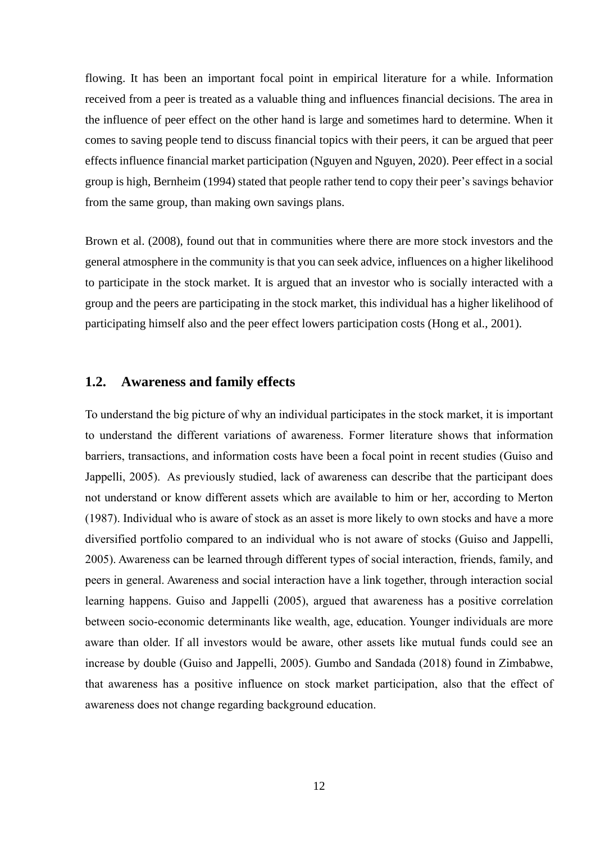flowing. It has been an important focal point in empirical literature for a while. Information received from a peer is treated as a valuable thing and influences financial decisions. The area in the influence of peer effect on the other hand is large and sometimes hard to determine. When it comes to saving people tend to discuss financial topics with their peers, it can be argued that peer effects influence financial market participation (Nguyen and Nguyen, 2020). Peer effect in a social group is high, Bernheim (1994) stated that people rather tend to copy their peer's savings behavior from the same group, than making own savings plans.

Brown et al. (2008), found out that in communities where there are more stock investors and the general atmosphere in the community is that you can seek advice, influences on a higher likelihood to participate in the stock market. It is argued that an investor who is socially interacted with a group and the peers are participating in the stock market, this individual has a higher likelihood of participating himself also and the peer effect lowers participation costs (Hong et al., 2001).

#### **1.2. Awareness and family effects**

To understand the big picture of why an individual participates in the stock market, it is important to understand the different variations of awareness. Former literature shows that information barriers, transactions, and information costs have been a focal point in recent studies (Guiso and Jappelli, 2005). As previously studied, lack of awareness can describe that the participant does not understand or know different assets which are available to him or her, according to Merton (1987). Individual who is aware of stock as an asset is more likely to own stocks and have a more diversified portfolio compared to an individual who is not aware of stocks (Guiso and Jappelli, 2005). Awareness can be learned through different types of social interaction, friends, family, and peers in general. Awareness and social interaction have a link together, through interaction social learning happens. Guiso and Jappelli (2005), argued that awareness has a positive correlation between socio-economic determinants like wealth, age, education. Younger individuals are more aware than older. If all investors would be aware, other assets like mutual funds could see an increase by double (Guiso and Jappelli, 2005). Gumbo and Sandada (2018) found in Zimbabwe, that awareness has a positive influence on stock market participation, also that the effect of awareness does not change regarding background education.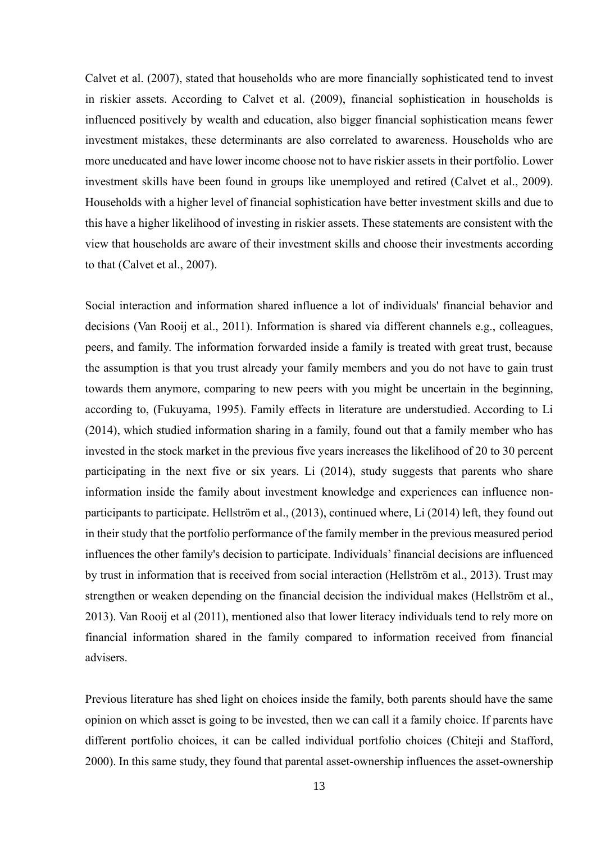Calvet et al. (2007), stated that households who are more financially sophisticated tend to invest in riskier assets. According to Calvet et al. (2009), financial sophistication in households is influenced positively by wealth and education, also bigger financial sophistication means fewer investment mistakes, these determinants are also correlated to awareness. Households who are more uneducated and have lower income choose not to have riskier assets in their portfolio. Lower investment skills have been found in groups like unemployed and retired (Calvet et al., 2009). Households with a higher level of financial sophistication have better investment skills and due to this have a higher likelihood of investing in riskier assets. These statements are consistent with the view that households are aware of their investment skills and choose their investments according to that (Calvet et al., 2007).

Social interaction and information shared influence a lot of individuals' financial behavior and decisions (Van Rooij et al., 2011). Information is shared via different channels e.g., colleagues, peers, and family. The information forwarded inside a family is treated with great trust, because the assumption is that you trust already your family members and you do not have to gain trust towards them anymore, comparing to new peers with you might be uncertain in the beginning, according to, (Fukuyama, 1995). Family effects in literature are understudied. According to Li (2014), which studied information sharing in a family, found out that a family member who has invested in the stock market in the previous five years increases the likelihood of 20 to 30 percent participating in the next five or six years. Li (2014), study suggests that parents who share information inside the family about investment knowledge and experiences can influence nonparticipants to participate. Hellström et al., (2013), continued where, Li (2014) left, they found out in their study that the portfolio performance of the family member in the previous measured period influences the other family's decision to participate. Individuals' financial decisions are influenced by trust in information that is received from social interaction (Hellström et al., 2013). Trust may strengthen or weaken depending on the financial decision the individual makes (Hellström et al., 2013). Van Rooij et al (2011), mentioned also that lower literacy individuals tend to rely more on financial information shared in the family compared to information received from financial advisers.

Previous literature has shed light on choices inside the family, both parents should have the same opinion on which asset is going to be invested, then we can call it a family choice. If parents have different portfolio choices, it can be called individual portfolio choices (Chiteji and Stafford, 2000). In this same study, they found that parental asset-ownership influences the asset-ownership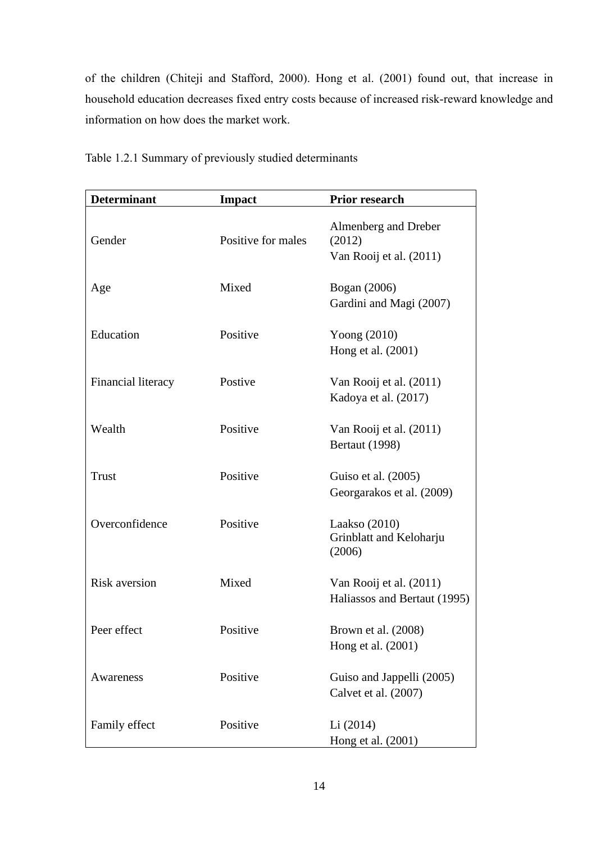of the children (Chiteji and Stafford, 2000). Hong et al. (2001) found out, that increase in household education decreases fixed entry costs because of increased risk-reward knowledge and information on how does the market work.

| <b>Determinant</b>   | <b>Impact</b>      | Prior research                                            |
|----------------------|--------------------|-----------------------------------------------------------|
| Gender               | Positive for males | Almenberg and Dreber<br>(2012)<br>Van Rooij et al. (2011) |
| Age                  | Mixed              | Bogan (2006)<br>Gardini and Magi (2007)                   |
| Education            | Positive           | Yoong $(2010)$<br>Hong et al. (2001)                      |
| Financial literacy   | Postive            | Van Rooij et al. (2011)<br>Kadoya et al. (2017)           |
| Wealth               | Positive           | Van Rooij et al. (2011)<br><b>Bertaut</b> (1998)          |
| <b>Trust</b>         | Positive           | Guiso et al. (2005)<br>Georgarakos et al. (2009)          |
| Overconfidence       | Positive           | Laakso $(2010)$<br>Grinblatt and Keloharju<br>(2006)      |
| <b>Risk aversion</b> | Mixed              | Van Rooij et al. (2011)<br>Haliassos and Bertaut (1995)   |
| Peer effect          | Positive           | Brown et al. (2008)<br>Hong et al. (2001)                 |
| Awareness            | Positive           | Guiso and Jappelli (2005)<br>Calvet et al. (2007)         |
| Family effect        | Positive           | Li (2014)<br>Hong et al. (2001)                           |

Table 1.2.1 Summary of previously studied determinants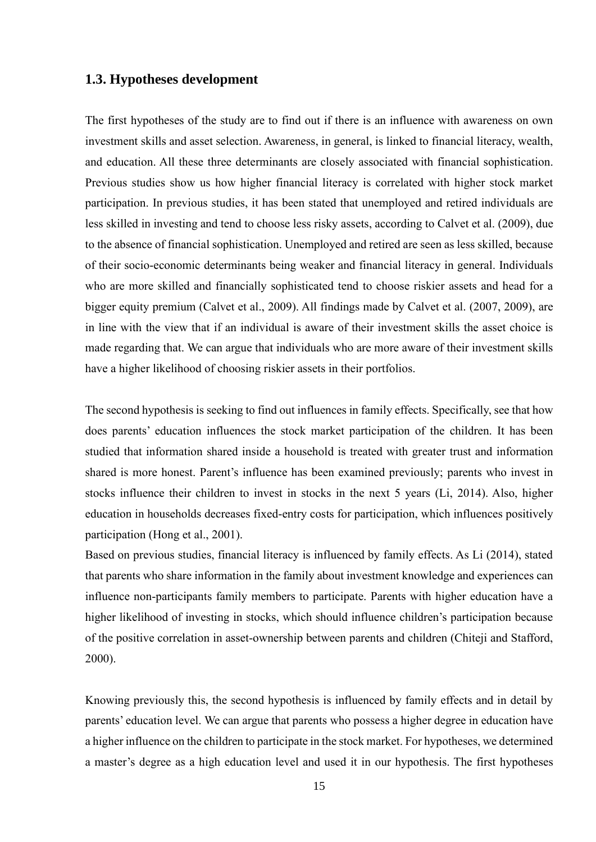#### **1.3. Hypotheses development**

The first hypotheses of the study are to find out if there is an influence with awareness on own investment skills and asset selection. Awareness, in general, is linked to financial literacy, wealth, and education. All these three determinants are closely associated with financial sophistication. Previous studies show us how higher financial literacy is correlated with higher stock market participation. In previous studies, it has been stated that unemployed and retired individuals are less skilled in investing and tend to choose less risky assets, according to Calvet et al. (2009), due to the absence of financial sophistication. Unemployed and retired are seen as less skilled, because of their socio-economic determinants being weaker and financial literacy in general. Individuals who are more skilled and financially sophisticated tend to choose riskier assets and head for a bigger equity premium (Calvet et al., 2009). All findings made by Calvet et al. (2007, 2009), are in line with the view that if an individual is aware of their investment skills the asset choice is made regarding that. We can argue that individuals who are more aware of their investment skills have a higher likelihood of choosing riskier assets in their portfolios.

The second hypothesis is seeking to find out influences in family effects. Specifically, see that how does parents' education influences the stock market participation of the children. It has been studied that information shared inside a household is treated with greater trust and information shared is more honest. Parent's influence has been examined previously; parents who invest in stocks influence their children to invest in stocks in the next 5 years (Li, 2014). Also, higher education in households decreases fixed-entry costs for participation, which influences positively participation (Hong et al., 2001).

Based on previous studies, financial literacy is influenced by family effects. As Li (2014), stated that parents who share information in the family about investment knowledge and experiences can influence non-participants family members to participate. Parents with higher education have a higher likelihood of investing in stocks, which should influence children's participation because of the positive correlation in asset-ownership between parents and children (Chiteji and Stafford, 2000).

Knowing previously this, the second hypothesis is influenced by family effects and in detail by parents' education level. We can argue that parents who possess a higher degree in education have a higher influence on the children to participate in the stock market. For hypotheses, we determined a master's degree as a high education level and used it in our hypothesis. The first hypotheses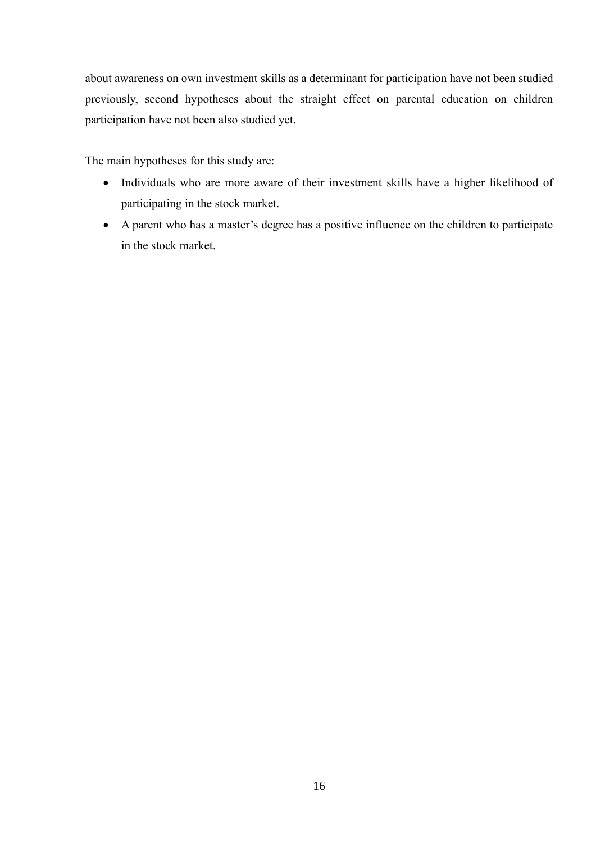about awareness on own investment skills as a determinant for participation have not been studied previously, second hypotheses about the straight effect on parental education on children participation have not been also studied yet.

The main hypotheses for this study are:

- Individuals who are more aware of their investment skills have a higher likelihood of participating in the stock market.
- <span id="page-15-0"></span>• A parent who has a master's degree has a positive influence on the children to participate in the stock market.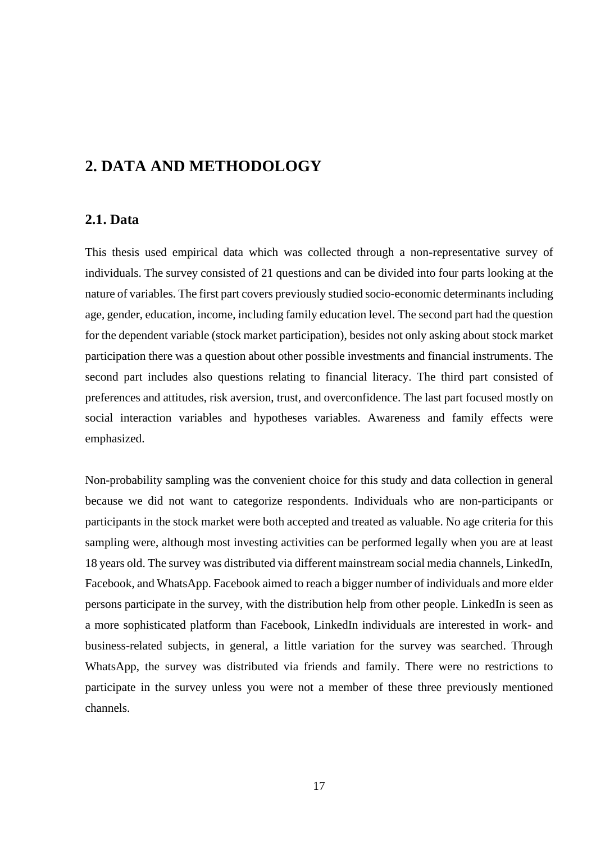## **2. DATA AND METHODOLOGY**

#### **2.1. Data**

This thesis used empirical data which was collected through a non-representative survey of individuals. The survey consisted of 21 questions and can be divided into four parts looking at the nature of variables. The first part covers previously studied socio-economic determinants including age, gender, education, income, including family education level. The second part had the question for the dependent variable (stock market participation), besides not only asking about stock market participation there was a question about other possible investments and financial instruments. The second part includes also questions relating to financial literacy. The third part consisted of preferences and attitudes, risk aversion, trust, and overconfidence. The last part focused mostly on social interaction variables and hypotheses variables. Awareness and family effects were emphasized.

Non-probability sampling was the convenient choice for this study and data collection in general because we did not want to categorize respondents. Individuals who are non-participants or participants in the stock market were both accepted and treated as valuable. No age criteria for this sampling were, although most investing activities can be performed legally when you are at least 18 years old. The survey was distributed via different mainstream social media channels, LinkedIn, Facebook, and WhatsApp. Facebook aimed to reach a bigger number of individuals and more elder persons participate in the survey, with the distribution help from other people. LinkedIn is seen as a more sophisticated platform than Facebook, LinkedIn individuals are interested in work- and business-related subjects, in general, a little variation for the survey was searched. Through WhatsApp, the survey was distributed via friends and family. There were no restrictions to participate in the survey unless you were not a member of these three previously mentioned channels.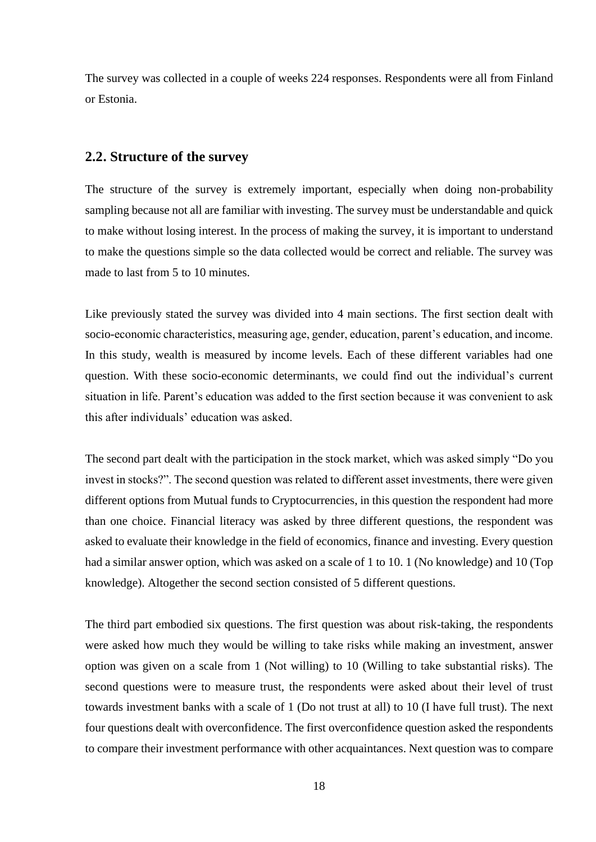The survey was collected in a couple of weeks 224 responses. Respondents were all from Finland or Estonia.

#### **2.2. Structure of the survey**

The structure of the survey is extremely important, especially when doing non-probability sampling because not all are familiar with investing. The survey must be understandable and quick to make without losing interest. In the process of making the survey, it is important to understand to make the questions simple so the data collected would be correct and reliable. The survey was made to last from 5 to 10 minutes.

Like previously stated the survey was divided into 4 main sections. The first section dealt with socio-economic characteristics, measuring age, gender, education, parent's education, and income. In this study, wealth is measured by income levels. Each of these different variables had one question. With these socio-economic determinants, we could find out the individual's current situation in life. Parent's education was added to the first section because it was convenient to ask this after individuals' education was asked.

The second part dealt with the participation in the stock market, which was asked simply "Do you invest in stocks?". The second question was related to different asset investments, there were given different options from Mutual funds to Cryptocurrencies, in this question the respondent had more than one choice. Financial literacy was asked by three different questions, the respondent was asked to evaluate their knowledge in the field of economics, finance and investing. Every question had a similar answer option, which was asked on a scale of 1 to 10. 1 (No knowledge) and 10 (Top knowledge). Altogether the second section consisted of 5 different questions.

The third part embodied six questions. The first question was about risk-taking, the respondents were asked how much they would be willing to take risks while making an investment, answer option was given on a scale from 1 (Not willing) to 10 (Willing to take substantial risks). The second questions were to measure trust, the respondents were asked about their level of trust towards investment banks with a scale of 1 (Do not trust at all) to 10 (I have full trust). The next four questions dealt with overconfidence. The first overconfidence question asked the respondents to compare their investment performance with other acquaintances. Next question was to compare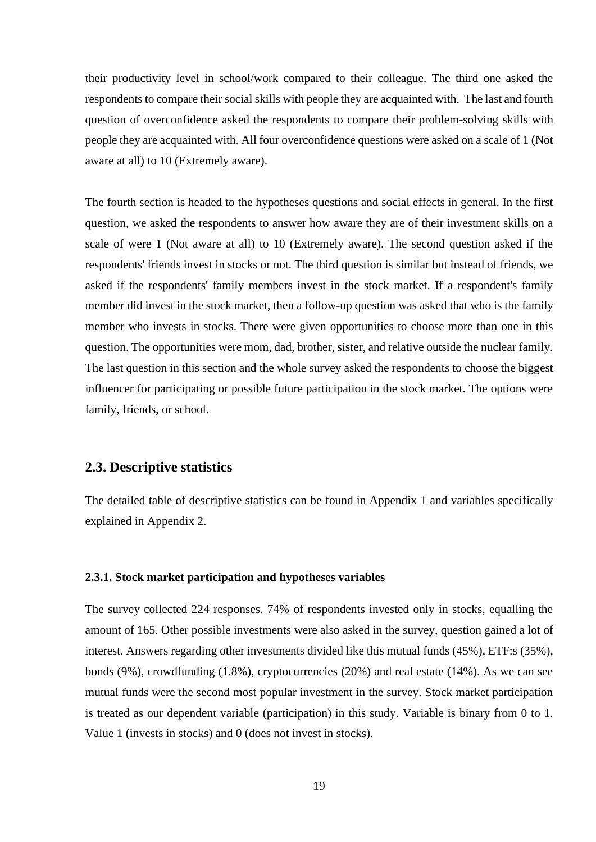their productivity level in school/work compared to their colleague. The third one asked the respondents to compare their social skills with people they are acquainted with. The last and fourth question of overconfidence asked the respondents to compare their problem-solving skills with people they are acquainted with. All four overconfidence questions were asked on a scale of 1 (Not aware at all) to 10 (Extremely aware).

The fourth section is headed to the hypotheses questions and social effects in general. In the first question, we asked the respondents to answer how aware they are of their investment skills on a scale of were 1 (Not aware at all) to 10 (Extremely aware). The second question asked if the respondents' friends invest in stocks or not. The third question is similar but instead of friends, we asked if the respondents' family members invest in the stock market. If a respondent's family member did invest in the stock market, then a follow-up question was asked that who is the family member who invests in stocks. There were given opportunities to choose more than one in this question. The opportunities were mom, dad, brother, sister, and relative outside the nuclear family. The last question in this section and the whole survey asked the respondents to choose the biggest influencer for participating or possible future participation in the stock market. The options were family, friends, or school.

#### **2.3. Descriptive statistics**

The detailed table of descriptive statistics can be found in Appendix 1 and variables specifically explained in Appendix 2.

#### **2.3.1. Stock market participation and hypotheses variables**

The survey collected 224 responses. 74% of respondents invested only in stocks, equalling the amount of 165. Other possible investments were also asked in the survey, question gained a lot of interest. Answers regarding other investments divided like this mutual funds (45%), ETF:s (35%), bonds (9%), crowdfunding (1.8%), cryptocurrencies (20%) and real estate (14%). As we can see mutual funds were the second most popular investment in the survey. Stock market participation is treated as our dependent variable (participation) in this study. Variable is binary from 0 to 1. Value 1 (invests in stocks) and 0 (does not invest in stocks).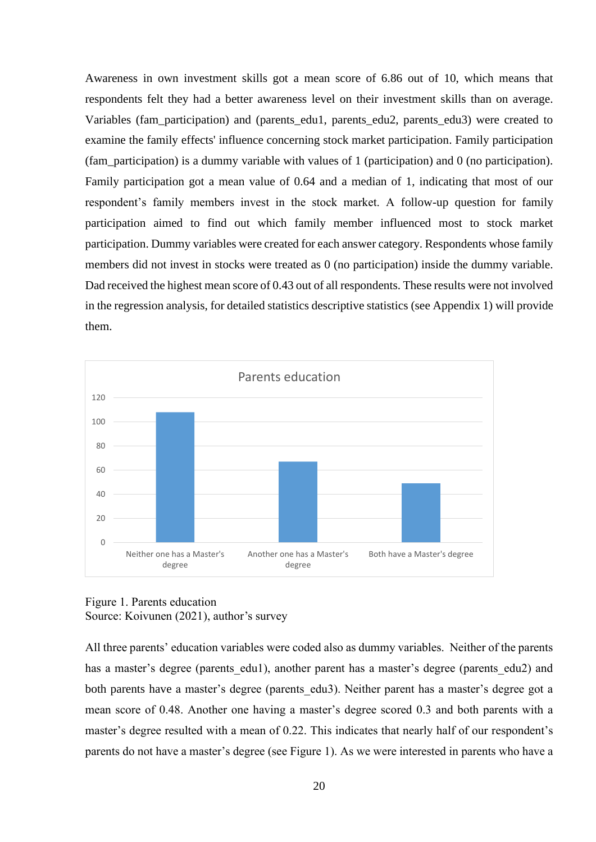Awareness in own investment skills got a mean score of 6.86 out of 10, which means that respondents felt they had a better awareness level on their investment skills than on average. Variables (fam participation) and (parents edu1, parents edu2, parents edu3) were created to examine the family effects' influence concerning stock market participation. Family participation (fam\_participation) is a dummy variable with values of 1 (participation) and 0 (no participation). Family participation got a mean value of 0.64 and a median of 1, indicating that most of our respondent's family members invest in the stock market. A follow-up question for family participation aimed to find out which family member influenced most to stock market participation. Dummy variables were created for each answer category. Respondents whose family members did not invest in stocks were treated as 0 (no participation) inside the dummy variable. Dad received the highest mean score of 0.43 out of all respondents. These results were not involved in the regression analysis, for detailed statistics descriptive statistics (see Appendix 1) will provide them.



Figure 1. Parents education Source: Koivunen (2021), author's survey

All three parents' education variables were coded also as dummy variables. Neither of the parents has a master's degree (parents edu1), another parent has a master's degree (parents edu2) and both parents have a master's degree (parents edu3). Neither parent has a master's degree got a mean score of 0.48. Another one having a master's degree scored 0.3 and both parents with a master's degree resulted with a mean of 0.22. This indicates that nearly half of our respondent's parents do not have a master's degree (see Figure 1). As we were interested in parents who have a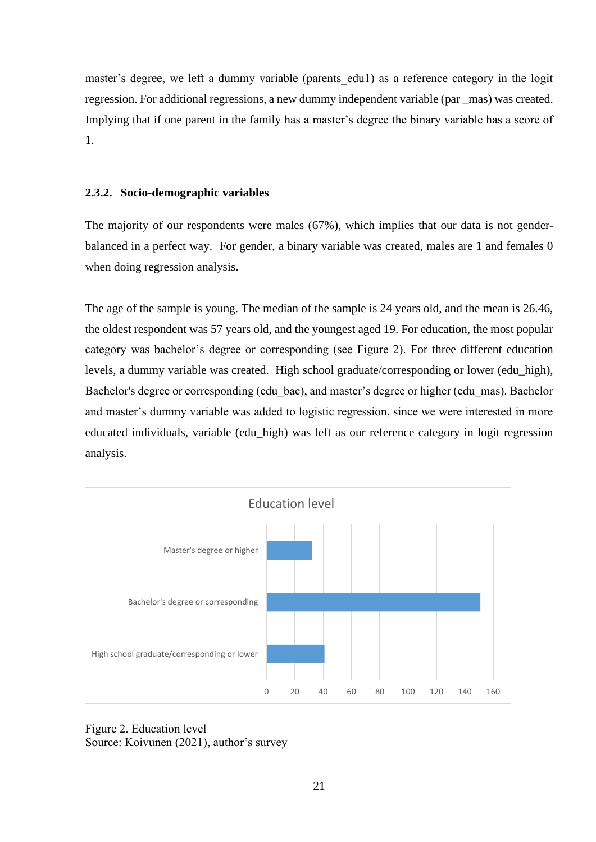master's degree, we left a dummy variable (parents edu1) as a reference category in the logit regression. For additional regressions, a new dummy independent variable (par \_mas) was created. Implying that if one parent in the family has a master's degree the binary variable has a score of 1.

#### **2.3.2. Socio-demographic variables**

The majority of our respondents were males (67%), which implies that our data is not genderbalanced in a perfect way. For gender, a binary variable was created, males are 1 and females 0 when doing regression analysis.

The age of the sample is young. The median of the sample is 24 years old, and the mean is 26.46, the oldest respondent was 57 years old, and the youngest aged 19. For education, the most popular category was bachelor's degree or corresponding (see Figure 2). For three different education levels, a dummy variable was created. High school graduate/corresponding or lower (edu\_high), Bachelor's degree or corresponding (edu bac), and master's degree or higher (edu mas). Bachelor and master's dummy variable was added to logistic regression, since we were interested in more educated individuals, variable (edu\_high) was left as our reference category in logit regression analysis.



Figure 2. Education level Source: Koivunen (2021), author's survey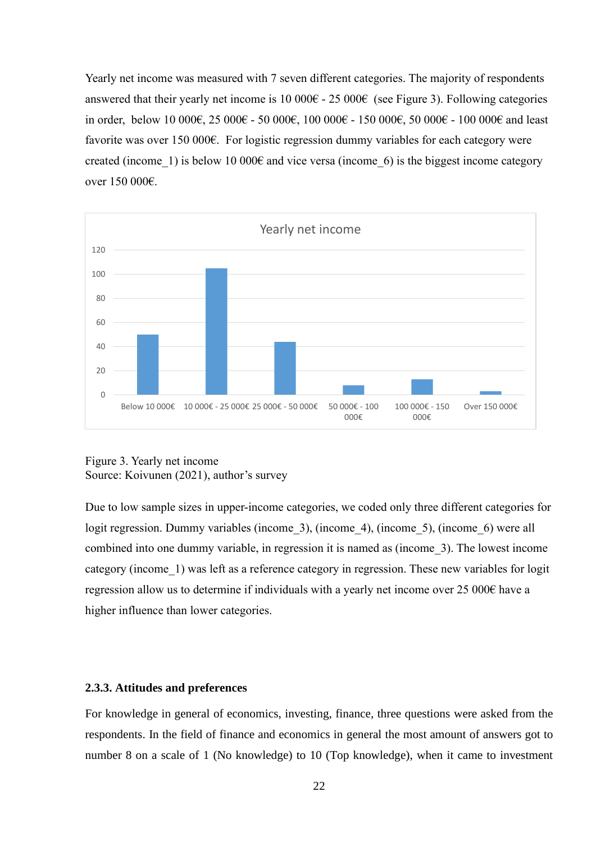Yearly net income was measured with 7 seven different categories. The majority of respondents answered that their yearly net income is 10 000 $\epsilon$  - 25 000 $\epsilon$  (see Figure 3). Following categories in order, below 10 000€, 25 000€ - 50 000€, 100 000€ - 150 000€, 50 000€ - 100 000€ and least favorite was over 150 000€. For logistic regression dummy variables for each category were created (income 1) is below 10 000 $\epsilon$  and vice versa (income 6) is the biggest income category over 150 000€.



Figure 3. Yearly net income Source: Koivunen (2021), author's survey

Due to low sample sizes in upper-income categories, we coded only three different categories for logit regression. Dummy variables (income 3), (income 4), (income 5), (income 6) were all combined into one dummy variable, in regression it is named as (income\_3). The lowest income category (income\_1) was left as a reference category in regression. These new variables for logit regression allow us to determine if individuals with a yearly net income over 25 000€ have a higher influence than lower categories.

#### **2.3.3. Attitudes and preferences**

For knowledge in general of economics, investing, finance, three questions were asked from the respondents. In the field of finance and economics in general the most amount of answers got to number 8 on a scale of 1 (No knowledge) to 10 (Top knowledge), when it came to investment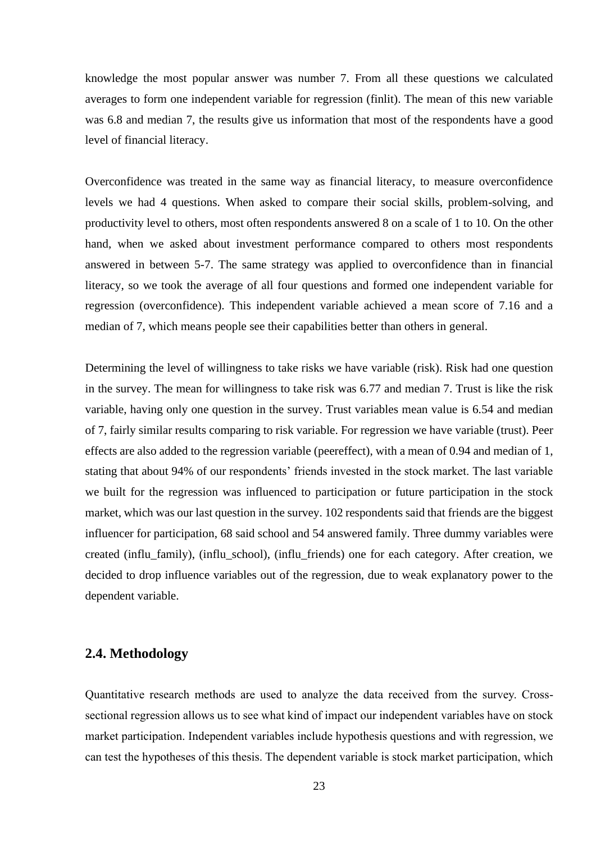knowledge the most popular answer was number 7. From all these questions we calculated averages to form one independent variable for regression (finlit). The mean of this new variable was 6.8 and median 7, the results give us information that most of the respondents have a good level of financial literacy.

Overconfidence was treated in the same way as financial literacy, to measure overconfidence levels we had 4 questions. When asked to compare their social skills, problem-solving, and productivity level to others, most often respondents answered 8 on a scale of 1 to 10. On the other hand, when we asked about investment performance compared to others most respondents answered in between 5-7. The same strategy was applied to overconfidence than in financial literacy, so we took the average of all four questions and formed one independent variable for regression (overconfidence). This independent variable achieved a mean score of 7.16 and a median of 7, which means people see their capabilities better than others in general.

Determining the level of willingness to take risks we have variable (risk). Risk had one question in the survey. The mean for willingness to take risk was 6.77 and median 7. Trust is like the risk variable, having only one question in the survey. Trust variables mean value is 6.54 and median of 7, fairly similar results comparing to risk variable. For regression we have variable (trust). Peer effects are also added to the regression variable (peereffect), with a mean of 0.94 and median of 1, stating that about 94% of our respondents' friends invested in the stock market. The last variable we built for the regression was influenced to participation or future participation in the stock market, which was our last question in the survey. 102 respondents said that friends are the biggest influencer for participation, 68 said school and 54 answered family. Three dummy variables were created (influ\_family), (influ\_school), (influ\_friends) one for each category. After creation, we decided to drop influence variables out of the regression, due to weak explanatory power to the dependent variable.

#### **2.4. Methodology**

Quantitative research methods are used to analyze the data received from the survey. Crosssectional regression allows us to see what kind of impact our independent variables have on stock market participation. Independent variables include hypothesis questions and with regression, we can test the hypotheses of this thesis. The dependent variable is stock market participation, which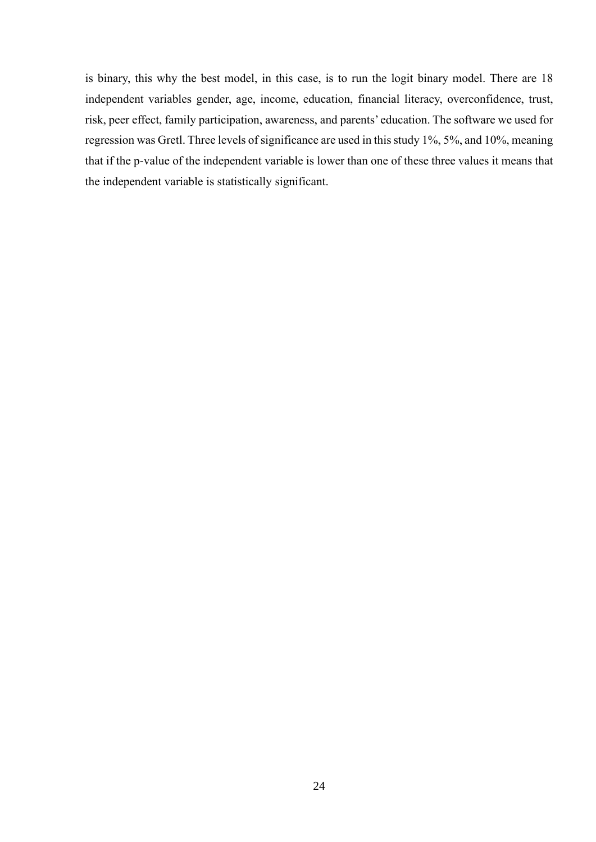is binary, this why the best model, in this case, is to run the logit binary model. There are 18 independent variables gender, age, income, education, financial literacy, overconfidence, trust, risk, peer effect, family participation, awareness, and parents' education. The software we used for regression was Gretl. Three levels of significance are used in this study 1%, 5%, and 10%, meaning that if the p-value of the independent variable is lower than one of these three values it means that the independent variable is statistically significant.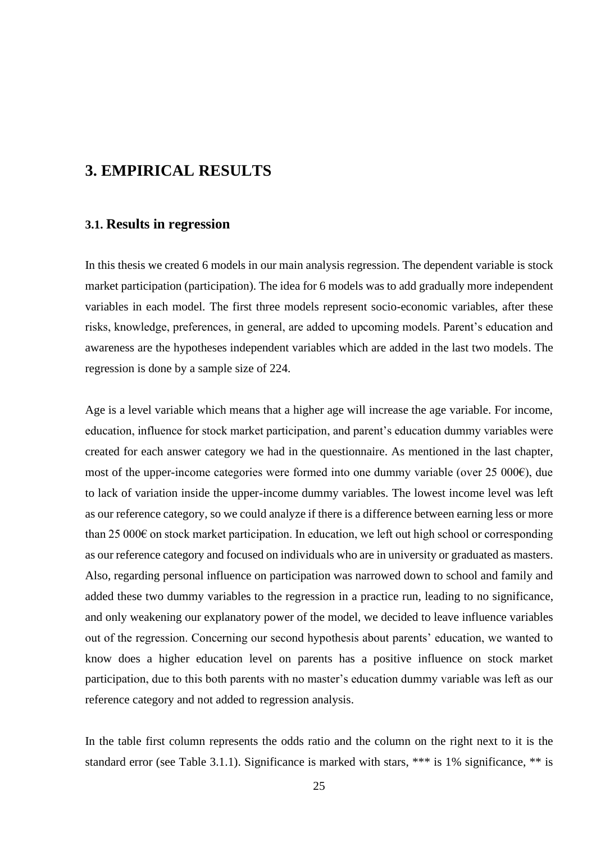## **3. EMPIRICAL RESULTS**

#### **3.1. Results in regression**

In this thesis we created 6 models in our main analysis regression. The dependent variable is stock market participation (participation). The idea for 6 models was to add gradually more independent variables in each model. The first three models represent socio-economic variables, after these risks, knowledge, preferences, in general, are added to upcoming models. Parent's education and awareness are the hypotheses independent variables which are added in the last two models. The regression is done by a sample size of 224.

Age is a level variable which means that a higher age will increase the age variable. For income, education, influence for stock market participation, and parent's education dummy variables were created for each answer category we had in the questionnaire. As mentioned in the last chapter, most of the upper-income categories were formed into one dummy variable (over 25 000€), due to lack of variation inside the upper-income dummy variables. The lowest income level was left as our reference category, so we could analyze if there is a difference between earning less or more than 25 000 $\epsilon$  on stock market participation. In education, we left out high school or corresponding as our reference category and focused on individuals who are in university or graduated as masters. Also, regarding personal influence on participation was narrowed down to school and family and added these two dummy variables to the regression in a practice run, leading to no significance, and only weakening our explanatory power of the model, we decided to leave influence variables out of the regression. Concerning our second hypothesis about parents' education, we wanted to know does a higher education level on parents has a positive influence on stock market participation, due to this both parents with no master's education dummy variable was left as our reference category and not added to regression analysis.

In the table first column represents the odds ratio and the column on the right next to it is the standard error (see Table 3.1.1). Significance is marked with stars, \*\*\* is 1% significance, \*\* is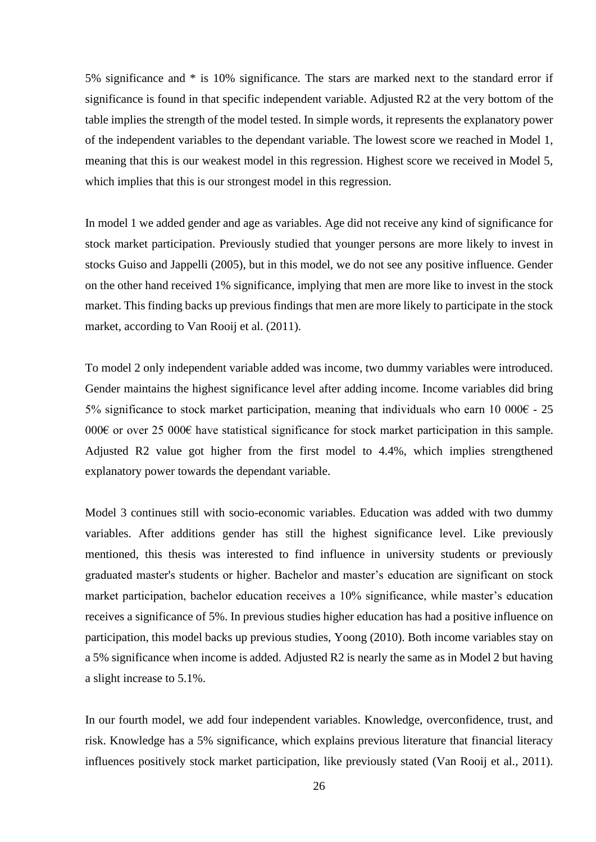5% significance and \* is 10% significance. The stars are marked next to the standard error if significance is found in that specific independent variable. Adjusted R2 at the very bottom of the table implies the strength of the model tested. In simple words, it represents the explanatory power of the independent variables to the dependant variable. The lowest score we reached in Model 1, meaning that this is our weakest model in this regression. Highest score we received in Model 5, which implies that this is our strongest model in this regression.

In model 1 we added gender and age as variables. Age did not receive any kind of significance for stock market participation. Previously studied that younger persons are more likely to invest in stocks Guiso and Jappelli (2005), but in this model, we do not see any positive influence. Gender on the other hand received 1% significance, implying that men are more like to invest in the stock market. This finding backs up previous findings that men are more likely to participate in the stock market, according to Van Rooij et al. (2011).

To model 2 only independent variable added was income, two dummy variables were introduced. Gender maintains the highest significance level after adding income. Income variables did bring 5% significance to stock market participation, meaning that individuals who earn 10 000 $\epsilon$  - 25 000€ or over 25 000€ have statistical significance for stock market participation in this sample. Adjusted R2 value got higher from the first model to 4.4%, which implies strengthened explanatory power towards the dependant variable.

Model 3 continues still with socio-economic variables. Education was added with two dummy variables. After additions gender has still the highest significance level. Like previously mentioned, this thesis was interested to find influence in university students or previously graduated master's students or higher. Bachelor and master's education are significant on stock market participation, bachelor education receives a 10% significance, while master's education receives a significance of 5%. In previous studies higher education has had a positive influence on participation, this model backs up previous studies, Yoong (2010). Both income variables stay on a 5% significance when income is added. Adjusted R2 is nearly the same as in Model 2 but having a slight increase to 5.1%.

In our fourth model, we add four independent variables. Knowledge, overconfidence, trust, and risk. Knowledge has a 5% significance, which explains previous literature that financial literacy influences positively stock market participation, like previously stated (Van Rooij et al., 2011).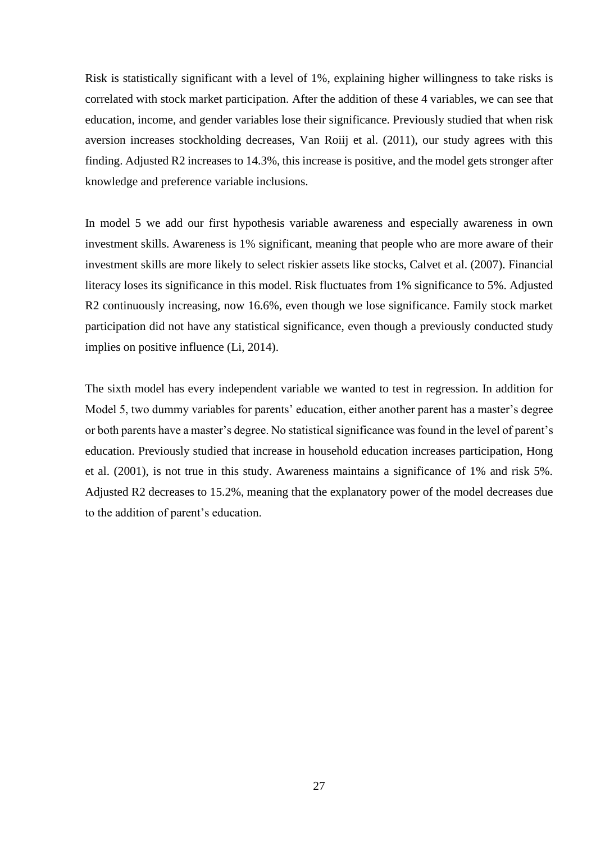Risk is statistically significant with a level of 1%, explaining higher willingness to take risks is correlated with stock market participation. After the addition of these 4 variables, we can see that education, income, and gender variables lose their significance. Previously studied that when risk aversion increases stockholding decreases, Van Roiij et al. (2011), our study agrees with this finding. Adjusted R2 increases to 14.3%, this increase is positive, and the model gets stronger after knowledge and preference variable inclusions.

In model 5 we add our first hypothesis variable awareness and especially awareness in own investment skills. Awareness is 1% significant, meaning that people who are more aware of their investment skills are more likely to select riskier assets like stocks, Calvet et al. (2007). Financial literacy loses its significance in this model. Risk fluctuates from 1% significance to 5%. Adjusted R2 continuously increasing, now 16.6%, even though we lose significance. Family stock market participation did not have any statistical significance, even though a previously conducted study implies on positive influence (Li, 2014).

The sixth model has every independent variable we wanted to test in regression. In addition for Model 5, two dummy variables for parents' education, either another parent has a master's degree or both parents have a master's degree. No statistical significance was found in the level of parent's education. Previously studied that increase in household education increases participation, Hong et al. (2001), is not true in this study. Awareness maintains a significance of 1% and risk 5%. Adjusted R2 decreases to 15.2%, meaning that the explanatory power of the model decreases due to the addition of parent's education.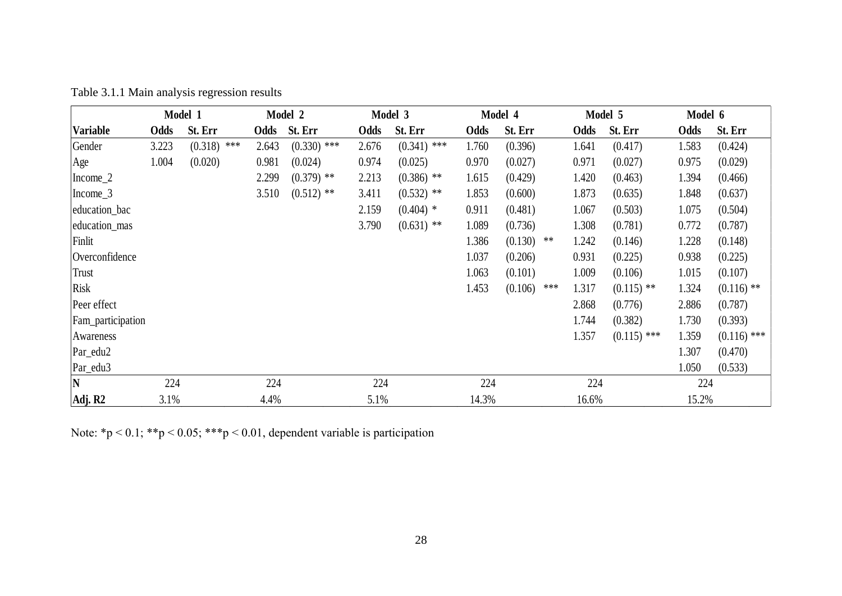|                   |       | Model 1        |       | Model 2       | Model 3<br>Model 4 |               |            |                  | Model 5 | Model 6       |       |               |
|-------------------|-------|----------------|-------|---------------|--------------------|---------------|------------|------------------|---------|---------------|-------|---------------|
| <b>Variable</b>   | Odds  | St. Err        | Odds  | St. Err       | Odds               | St. Err       | Odds       | St. Err          | Odds    | St. Err       | Odds  | St. Err       |
| Gender            | 3.223 | (0.318)<br>*** | 2.643 | $(0.330)$ *** | 2.676              | $(0.341)$ *** | 1.760      | (0.396)          | 1.641   | (0.417)       | 1.583 | (0.424)       |
| Age               | 1.004 | (0.020)        | 0.981 | (0.024)       | 0.974              | (0.025)       | 0.970      | (0.027)          | 0.971   | (0.027)       | 0.975 | (0.029)       |
| $Income_2$        |       |                | 2.299 | $(0.379)$ **  | 2.213              | $(0.386)$ **  | 1.615      | (0.429)          | 1.420   | (0.463)       | 1.394 | (0.466)       |
| $Income_3$        |       |                | 3.510 | $(0.512)$ **  | 3.411              | $(0.532)$ **  | 1.853      | (0.600)          | 1.873   | (0.635)       | 1.848 | (0.637)       |
| education_bac     |       |                |       |               | 2.159              | $(0.404)$ *   | 0.911      | (0.481)          | 1.067   | (0.503)       | 1.075 | (0.504)       |
| education_mas     |       |                |       |               | 3.790              | $(0.631)$ **  | 1.089      | (0.736)          | 1.308   | (0.781)       | 0.772 | (0.787)       |
| Finlit            |       |                |       |               |                    |               | 1.386      | (0.130)<br>$***$ | 1.242   | (0.146)       | 1.228 | (0.148)       |
| Overconfidence    |       |                |       |               |                    |               | 1.037      | (0.206)          | 0.931   | (0.225)       | 0.938 | (0.225)       |
| <b>Trust</b>      |       |                |       |               |                    |               | 1.063      | (0.101)          | 1.009   | (0.106)       | 1.015 | (0.107)       |
| <b>Risk</b>       |       |                |       |               |                    |               | 1.453      | (0.106)<br>***   | 1.317   | $(0.115)$ **  | 1.324 | $(0.116)$ **  |
| Peer effect       |       |                |       |               |                    |               |            |                  | 2.868   | (0.776)       | 2.886 | (0.787)       |
| Fam_participation |       |                |       |               |                    |               |            |                  | 1.744   | (0.382)       | 1.730 | (0.393)       |
| Awareness         |       |                |       |               |                    |               |            |                  | 1.357   | $(0.115)$ *** | 1.359 | $(0.116)$ *** |
| Par_edu2          |       |                |       |               |                    |               |            |                  |         |               | 1.307 | (0.470)       |
| Par_edu3          |       |                |       |               |                    |               |            |                  |         |               | 1.050 | (0.533)       |
| N                 | 224   |                | 224   |               | 224                |               | 224<br>224 |                  |         | 224           |       |               |
| Adj. R2           | 3.1%  |                | 4.4%  |               | 5.1%               |               | 14.3%      |                  | 16.6%   |               | 15.2% |               |

Table 3.1.1 Main analysis regression results

Note: \*p < 0.1; \*\*p < 0.05; \*\*\*p < 0.01, dependent variable is participation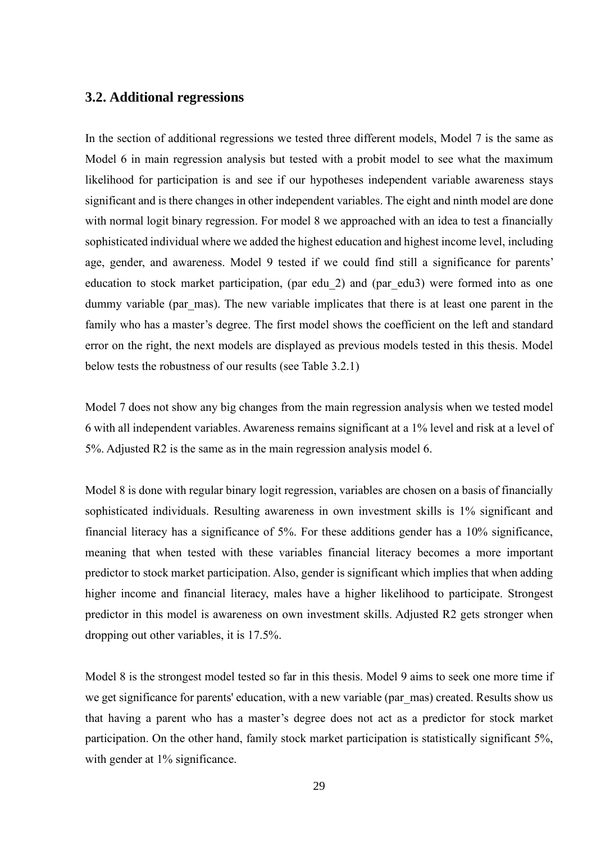#### **3.2. Additional regressions**

In the section of additional regressions we tested three different models, Model 7 is the same as Model 6 in main regression analysis but tested with a probit model to see what the maximum likelihood for participation is and see if our hypotheses independent variable awareness stays significant and is there changes in other independent variables. The eight and ninth model are done with normal logit binary regression. For model 8 we approached with an idea to test a financially sophisticated individual where we added the highest education and highest income level, including age, gender, and awareness. Model 9 tested if we could find still a significance for parents' education to stock market participation, (par edu\_2) and (par\_edu3) were formed into as one dummy variable (par mas). The new variable implicates that there is at least one parent in the family who has a master's degree. The first model shows the coefficient on the left and standard error on the right, the next models are displayed as previous models tested in this thesis. Model below tests the robustness of our results (see Table 3.2.1)

Model 7 does not show any big changes from the main regression analysis when we tested model 6 with all independent variables. Awareness remains significant at a 1% level and risk at a level of 5%. Adjusted R2 is the same as in the main regression analysis model 6.

Model 8 is done with regular binary logit regression, variables are chosen on a basis of financially sophisticated individuals. Resulting awareness in own investment skills is 1% significant and financial literacy has a significance of 5%. For these additions gender has a 10% significance, meaning that when tested with these variables financial literacy becomes a more important predictor to stock market participation. Also, gender is significant which implies that when adding higher income and financial literacy, males have a higher likelihood to participate. Strongest predictor in this model is awareness on own investment skills. Adjusted R2 gets stronger when dropping out other variables, it is 17.5%.

Model 8 is the strongest model tested so far in this thesis. Model 9 aims to seek one more time if we get significance for parents' education, with a new variable (par mas) created. Results show us that having a parent who has a master's degree does not act as a predictor for stock market participation. On the other hand, family stock market participation is statistically significant 5%, with gender at 1% significance.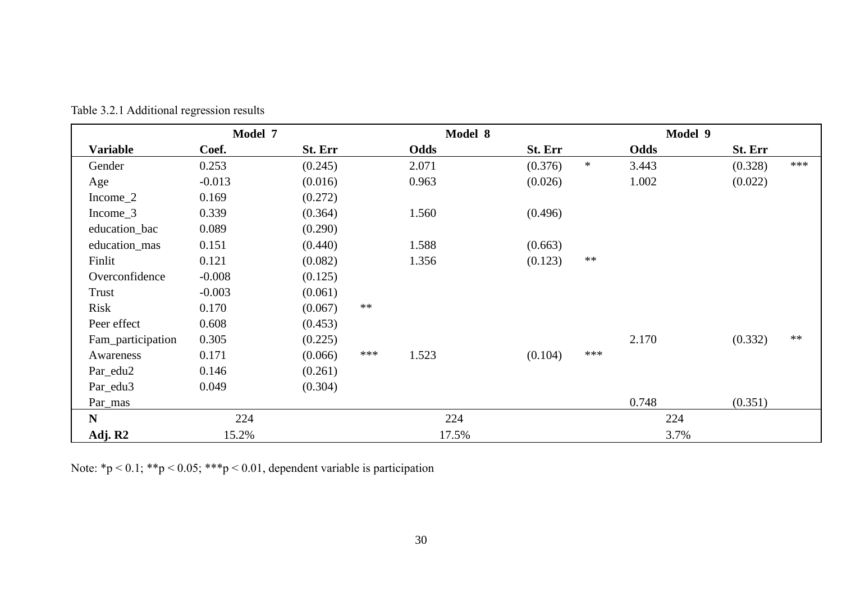|                   | Model 7  |         |      |       | Model 8 |         |        | Model 9 |         |      |
|-------------------|----------|---------|------|-------|---------|---------|--------|---------|---------|------|
| <b>Variable</b>   | Coef.    | St. Err |      | Odds  |         | St. Err |        | Odds    | St. Err |      |
| Gender            | 0.253    | (0.245) |      | 2.071 |         | (0.376) | $\ast$ | 3.443   | (0.328) | ***  |
| Age               | $-0.013$ | (0.016) |      | 0.963 |         | (0.026) |        | 1.002   | (0.022) |      |
| Income_2          | 0.169    | (0.272) |      |       |         |         |        |         |         |      |
| Income_3          | 0.339    | (0.364) |      | 1.560 |         | (0.496) |        |         |         |      |
| education_bac     | 0.089    | (0.290) |      |       |         |         |        |         |         |      |
| education_mas     | 0.151    | (0.440) |      | 1.588 |         | (0.663) |        |         |         |      |
| Finlit            | 0.121    | (0.082) |      | 1.356 |         | (0.123) | $**$   |         |         |      |
| Overconfidence    | $-0.008$ | (0.125) |      |       |         |         |        |         |         |      |
| Trust             | $-0.003$ | (0.061) |      |       |         |         |        |         |         |      |
| Risk              | 0.170    | (0.067) | $**$ |       |         |         |        |         |         |      |
| Peer effect       | 0.608    | (0.453) |      |       |         |         |        |         |         |      |
| Fam_participation | 0.305    | (0.225) |      |       |         |         |        | 2.170   | (0.332) | $**$ |
| Awareness         | 0.171    | (0.066) | ***  | 1.523 |         | (0.104) | ***    |         |         |      |
| Par_edu2          | 0.146    | (0.261) |      |       |         |         |        |         |         |      |
| Par_edu3          | 0.049    | (0.304) |      |       |         |         |        |         |         |      |
| Par_mas           |          |         |      |       |         |         |        | 0.748   | (0.351) |      |
| ${\bf N}$         | 224      |         |      | 224   |         |         |        | 224     |         |      |
| Adj. R2           | 15.2%    |         |      | 17.5% |         |         |        | 3.7%    |         |      |

Table 3.2.1 Additional regression results

Note: \*p < 0.1; \*\*p < 0.05; \*\*\*p < 0.01, dependent variable is participation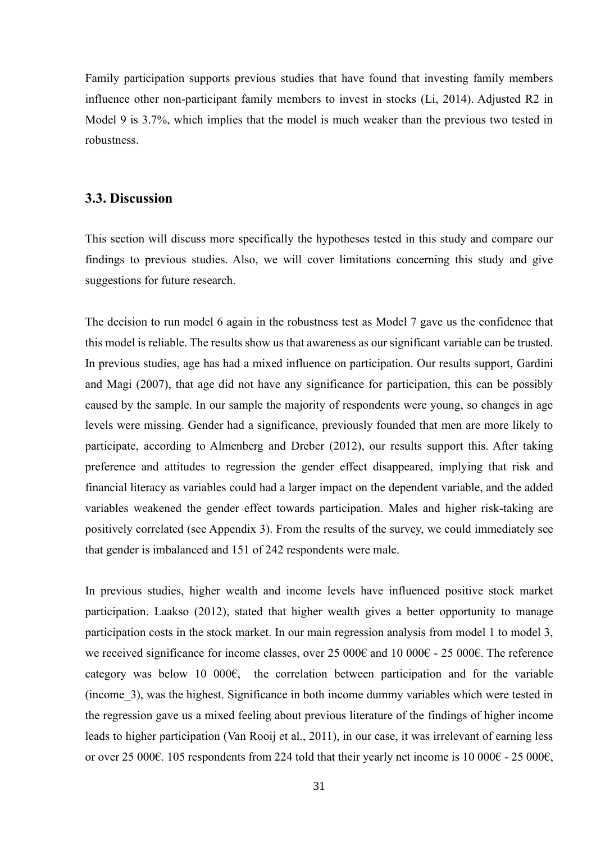Family participation supports previous studies that have found that investing family members influence other non-participant family members to invest in stocks (Li, 2014). Adjusted R2 in Model 9 is 3.7%, which implies that the model is much weaker than the previous two tested in robustness.

#### **3.3. Discussion**

This section will discuss more specifically the hypotheses tested in this study and compare our findings to previous studies. Also, we will cover limitations concerning this study and give suggestions for future research.

The decision to run model 6 again in the robustness test as Model 7 gave us the confidence that this model is reliable. The results show us that awareness as our significant variable can be trusted. In previous studies, age has had a mixed influence on participation. Our results support, Gardini and Magi (2007), that age did not have any significance for participation, this can be possibly caused by the sample. In our sample the majority of respondents were young, so changes in age levels were missing. Gender had a significance, previously founded that men are more likely to participate, according to Almenberg and Dreber (2012), our results support this. After taking preference and attitudes to regression the gender effect disappeared, implying that risk and financial literacy as variables could had a larger impact on the dependent variable, and the added variables weakened the gender effect towards participation. Males and higher risk-taking are positively correlated (see Appendix 3). From the results of the survey, we could immediately see that gender is imbalanced and 151 of 242 respondents were male.

In previous studies, higher wealth and income levels have influenced positive stock market participation. Laakso (2012), stated that higher wealth gives a better opportunity to manage participation costs in the stock market. In our main regression analysis from model 1 to model 3, we received significance for income classes, over 25 000€ and 10 000€ - 25 000€. The reference category was below 10 000 $\epsilon$ , the correlation between participation and for the variable (income\_3), was the highest. Significance in both income dummy variables which were tested in the regression gave us a mixed feeling about previous literature of the findings of higher income leads to higher participation (Van Rooij et al., 2011), in our case, it was irrelevant of earning less or over 25 000€. 105 respondents from 224 told that their yearly net income is 10 000€ - 25 000€,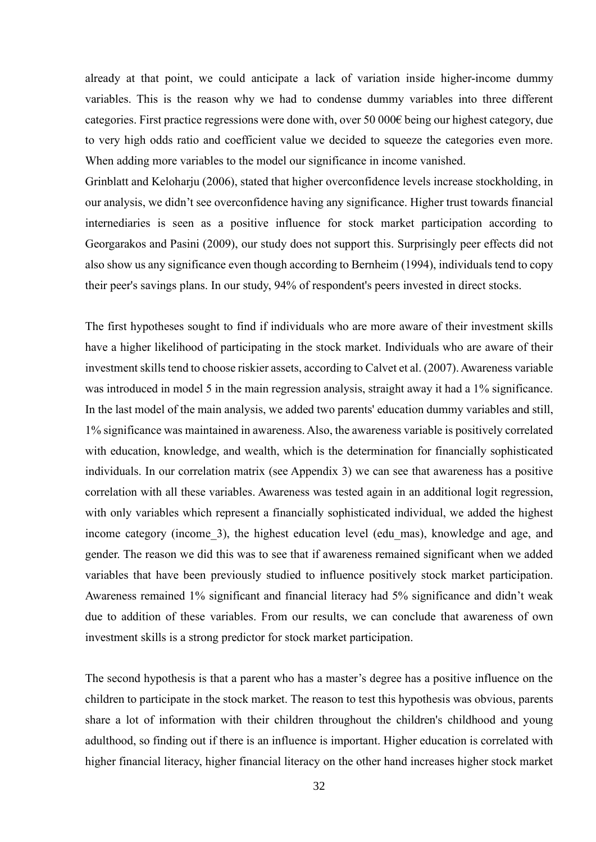already at that point, we could anticipate a lack of variation inside higher-income dummy variables. This is the reason why we had to condense dummy variables into three different categories. First practice regressions were done with, over 50 000€ being our highest category, due to very high odds ratio and coefficient value we decided to squeeze the categories even more. When adding more variables to the model our significance in income vanished.

Grinblatt and Keloharju (2006), stated that higher overconfidence levels increase stockholding, in our analysis, we didn't see overconfidence having any significance. Higher trust towards financial internediaries is seen as a positive influence for stock market participation according to Georgarakos and Pasini (2009), our study does not support this. Surprisingly peer effects did not also show us any significance even though according to Bernheim (1994), individuals tend to copy their peer's savings plans. In our study, 94% of respondent's peers invested in direct stocks.

The first hypotheses sought to find if individuals who are more aware of their investment skills have a higher likelihood of participating in the stock market. Individuals who are aware of their investment skills tend to choose riskier assets, according to Calvet et al. (2007). Awareness variable was introduced in model 5 in the main regression analysis, straight away it had a 1% significance. In the last model of the main analysis, we added two parents' education dummy variables and still, 1% significance was maintained in awareness. Also, the awareness variable is positively correlated with education, knowledge, and wealth, which is the determination for financially sophisticated individuals. In our correlation matrix (see Appendix 3) we can see that awareness has a positive correlation with all these variables. Awareness was tested again in an additional logit regression, with only variables which represent a financially sophisticated individual, we added the highest income category (income\_3), the highest education level (edu\_mas), knowledge and age, and gender. The reason we did this was to see that if awareness remained significant when we added variables that have been previously studied to influence positively stock market participation. Awareness remained 1% significant and financial literacy had 5% significance and didn't weak due to addition of these variables. From our results, we can conclude that awareness of own investment skills is a strong predictor for stock market participation.

The second hypothesis is that a parent who has a master's degree has a positive influence on the children to participate in the stock market. The reason to test this hypothesis was obvious, parents share a lot of information with their children throughout the children's childhood and young adulthood, so finding out if there is an influence is important. Higher education is correlated with higher financial literacy, higher financial literacy on the other hand increases higher stock market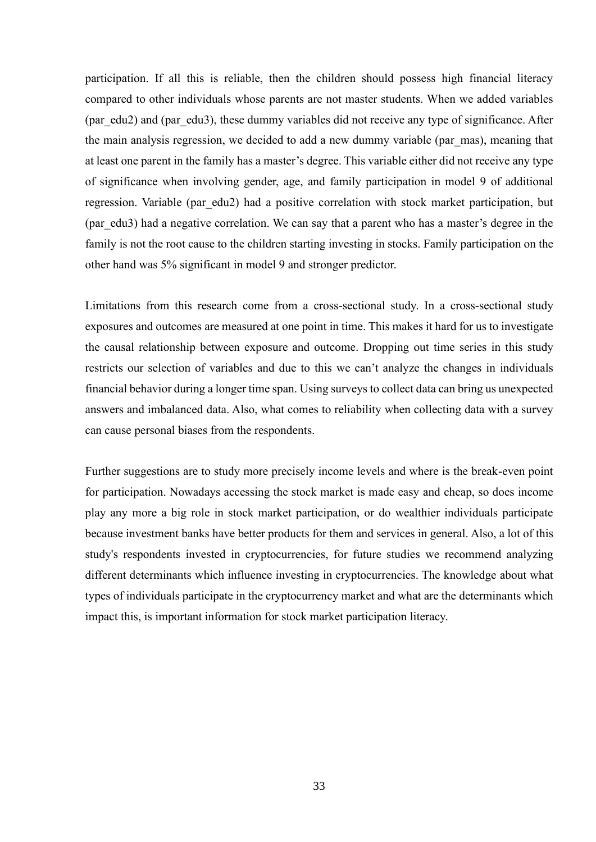participation. If all this is reliable, then the children should possess high financial literacy compared to other individuals whose parents are not master students. When we added variables (par\_edu2) and (par\_edu3), these dummy variables did not receive any type of significance. After the main analysis regression, we decided to add a new dummy variable (par\_mas), meaning that at least one parent in the family has a master's degree. This variable either did not receive any type of significance when involving gender, age, and family participation in model 9 of additional regression. Variable (par\_edu2) had a positive correlation with stock market participation, but (par\_edu3) had a negative correlation. We can say that a parent who has a master's degree in the family is not the root cause to the children starting investing in stocks. Family participation on the other hand was 5% significant in model 9 and stronger predictor.

Limitations from this research come from a cross-sectional study. In a cross-sectional study exposures and outcomes are measured at one point in time. This makes it hard for us to investigate the causal relationship between exposure and outcome. Dropping out time series in this study restricts our selection of variables and due to this we can't analyze the changes in individuals financial behavior during a longer time span. Using surveys to collect data can bring us unexpected answers and imbalanced data. Also, what comes to reliability when collecting data with a survey can cause personal biases from the respondents.

Further suggestions are to study more precisely income levels and where is the break-even point for participation. Nowadays accessing the stock market is made easy and cheap, so does income play any more a big role in stock market participation, or do wealthier individuals participate because investment banks have better products for them and services in general. Also, a lot of this study's respondents invested in cryptocurrencies, for future studies we recommend analyzing different determinants which influence investing in cryptocurrencies. The knowledge about what types of individuals participate in the cryptocurrency market and what are the determinants which impact this, is important information for stock market participation literacy.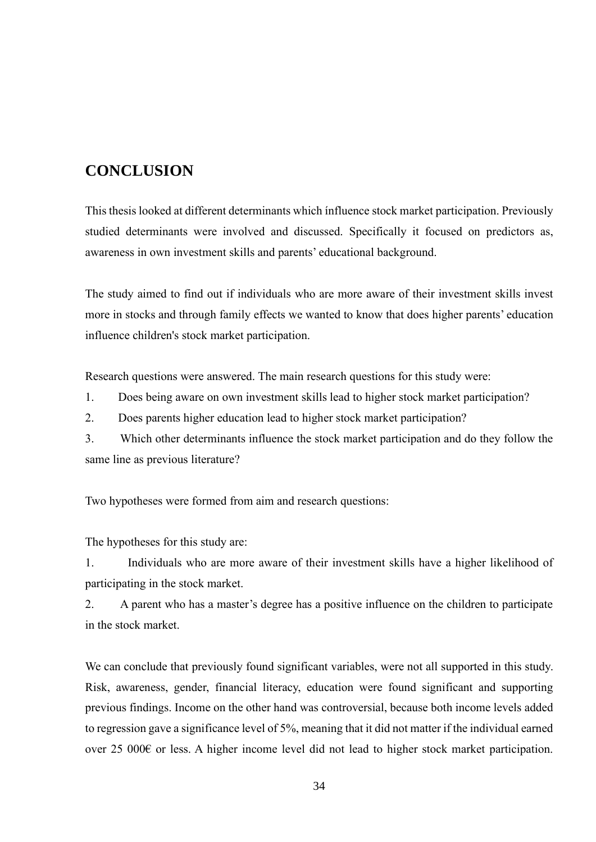## **CONCLUSION**

This thesis looked at different determinants which ínfluence stock market participation. Previously studied determinants were involved and discussed. Specifically it focused on predictors as, awareness in own investment skills and parents' educational background.

The study aimed to find out if individuals who are more aware of their investment skills invest more in stocks and through family effects we wanted to know that does higher parents' education influence children's stock market participation.

Research questions were answered. The main research questions for this study were:

1. Does being aware on own investment skills lead to higher stock market participation?

2. Does parents higher education lead to higher stock market participation?

3. Which other determinants influence the stock market participation and do they follow the same line as previous literature?

Two hypotheses were formed from aim and research questions:

The hypotheses for this study are:

1. Individuals who are more aware of their investment skills have a higher likelihood of participating in the stock market.

2. A parent who has a master's degree has a positive influence on the children to participate in the stock market.

We can conclude that previously found significant variables, were not all supported in this study. Risk, awareness, gender, financial literacy, education were found significant and supporting previous findings. Income on the other hand was controversial, because both income levels added to regression gave a significance level of 5%, meaning that it did not matter if the individual earned over 25 000€ or less. A higher income level did not lead to higher stock market participation.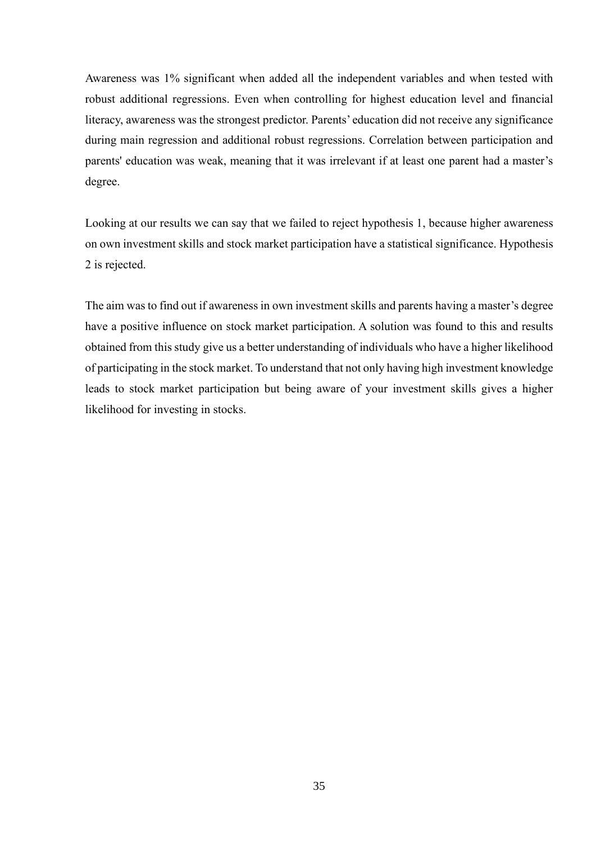Awareness was 1% significant when added all the independent variables and when tested with robust additional regressions. Even when controlling for highest education level and financial literacy, awareness was the strongest predictor. Parents' education did not receive any significance during main regression and additional robust regressions. Correlation between participation and parents' education was weak, meaning that it was irrelevant if at least one parent had a master's degree.

Looking at our results we can say that we failed to reject hypothesis 1, because higher awareness on own investment skills and stock market participation have a statistical significance. Hypothesis 2 is rejected.

The aim was to find out if awareness in own investment skills and parents having a master's degree have a positive influence on stock market participation. A solution was found to this and results obtained from this study give us a better understanding of individuals who have a higher likelihood of participating in the stock market. To understand that not only having high investment knowledge leads to stock market participation but being aware of your investment skills gives a higher likelihood for investing in stocks.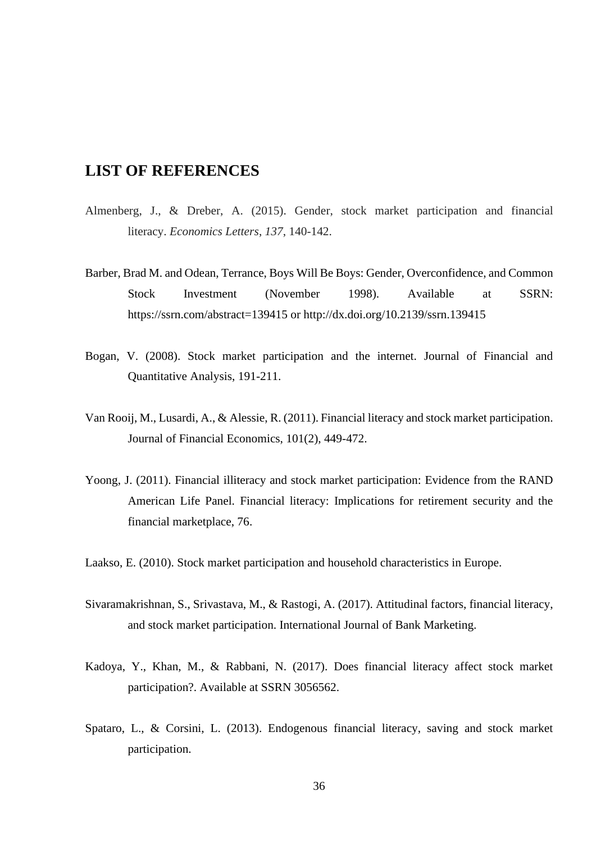## **LIST OF REFERENCES**

- Almenberg, J., & Dreber, A. (2015). Gender, stock market participation and financial literacy. *Economics Letters*, *137*, 140-142.
- Barber, Brad M. and Odean, Terrance, Boys Will Be Boys: Gender, Overconfidence, and Common Stock Investment (November 1998). Available at SSRN: https://ssrn.com/abstract=139415 or http://dx.doi.org/10.2139/ssrn.139415
- Bogan, V. (2008). Stock market participation and the internet. Journal of Financial and Quantitative Analysis, 191-211.
- Van Rooij, M., Lusardi, A., & Alessie, R. (2011). Financial literacy and stock market participation. Journal of Financial Economics, 101(2), 449-472.
- Yoong, J. (2011). Financial illiteracy and stock market participation: Evidence from the RAND American Life Panel. Financial literacy: Implications for retirement security and the financial marketplace, 76.

Laakso, E. (2010). Stock market participation and household characteristics in Europe.

- Sivaramakrishnan, S., Srivastava, M., & Rastogi, A. (2017). Attitudinal factors, financial literacy, and stock market participation. International Journal of Bank Marketing.
- Kadoya, Y., Khan, M., & Rabbani, N. (2017). Does financial literacy affect stock market participation?. Available at SSRN 3056562.
- Spataro, L., & Corsini, L. (2013). Endogenous financial literacy, saving and stock market participation.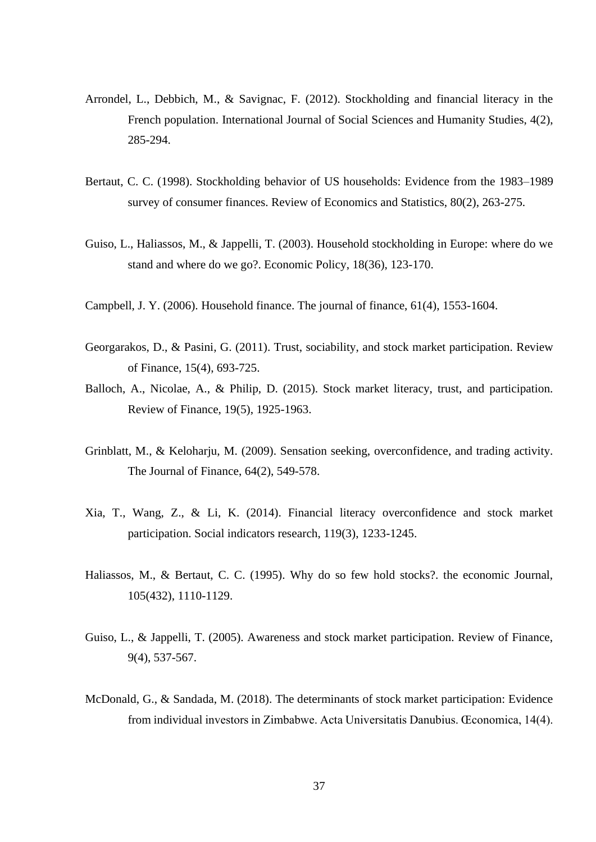- Arrondel, L., Debbich, M., & Savignac, F. (2012). Stockholding and financial literacy in the French population. International Journal of Social Sciences and Humanity Studies, 4(2), 285-294.
- Bertaut, C. C. (1998). Stockholding behavior of US households: Evidence from the 1983–1989 survey of consumer finances. Review of Economics and Statistics, 80(2), 263-275.
- Guiso, L., Haliassos, M., & Jappelli, T. (2003). Household stockholding in Europe: where do we stand and where do we go?. Economic Policy, 18(36), 123-170.
- Campbell, J. Y. (2006). Household finance. The journal of finance, 61(4), 1553-1604.
- Georgarakos, D., & Pasini, G. (2011). Trust, sociability, and stock market participation. Review of Finance, 15(4), 693-725.
- Balloch, A., Nicolae, A., & Philip, D. (2015). Stock market literacy, trust, and participation. Review of Finance, 19(5), 1925-1963.
- Grinblatt, M., & Keloharju, M. (2009). Sensation seeking, overconfidence, and trading activity. The Journal of Finance, 64(2), 549-578.
- Xia, T., Wang, Z., & Li, K. (2014). Financial literacy overconfidence and stock market participation. Social indicators research, 119(3), 1233-1245.
- Haliassos, M., & Bertaut, C. C. (1995). Why do so few hold stocks?. the economic Journal, 105(432), 1110-1129.
- Guiso, L., & Jappelli, T. (2005). Awareness and stock market participation. Review of Finance, 9(4), 537-567.
- McDonald, G., & Sandada, M. (2018). The determinants of stock market participation: Evidence from individual investors in Zimbabwe. Acta Universitatis Danubius. Œconomica, 14(4).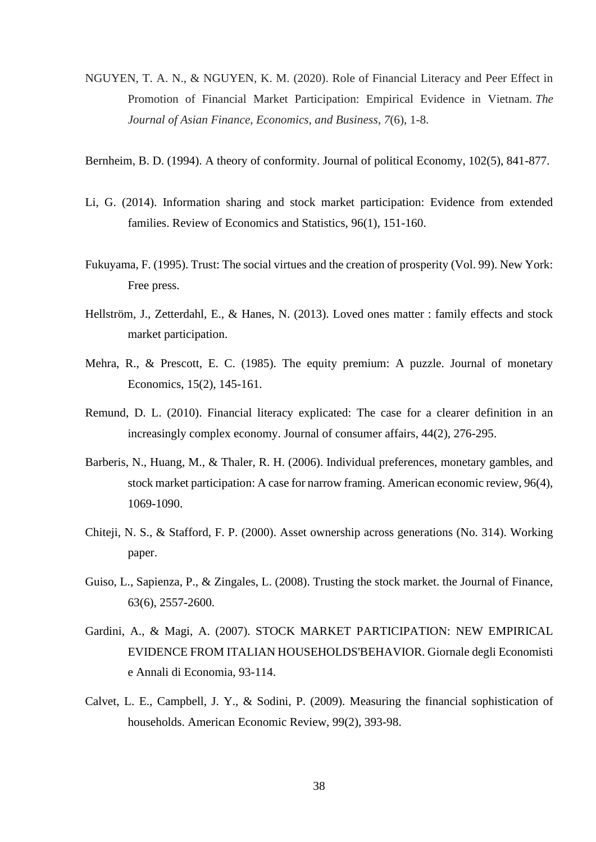- NGUYEN, T. A. N., & NGUYEN, K. M. (2020). Role of Financial Literacy and Peer Effect in Promotion of Financial Market Participation: Empirical Evidence in Vietnam. *The Journal of Asian Finance, Economics, and Business*, *7*(6), 1-8.
- Bernheim, B. D. (1994). A theory of conformity. Journal of political Economy, 102(5), 841-877.
- Li, G. (2014). Information sharing and stock market participation: Evidence from extended families. Review of Economics and Statistics, 96(1), 151-160.
- Fukuyama, F. (1995). Trust: The social virtues and the creation of prosperity (Vol. 99). New York: Free press.
- Hellström, J., Zetterdahl, E., & Hanes, N. (2013). Loved ones matter : family effects and stock market participation.
- Mehra, R., & Prescott, E. C. (1985). The equity premium: A puzzle. Journal of monetary Economics, 15(2), 145-161.
- Remund, D. L. (2010). Financial literacy explicated: The case for a clearer definition in an increasingly complex economy. Journal of consumer affairs, 44(2), 276-295.
- Barberis, N., Huang, M., & Thaler, R. H. (2006). Individual preferences, monetary gambles, and stock market participation: A case for narrow framing. American economic review, 96(4), 1069-1090.
- Chiteji, N. S., & Stafford, F. P. (2000). Asset ownership across generations (No. 314). Working paper.
- Guiso, L., Sapienza, P., & Zingales, L. (2008). Trusting the stock market. the Journal of Finance, 63(6), 2557-2600.
- Gardini, A., & Magi, A. (2007). STOCK MARKET PARTICIPATION: NEW EMPIRICAL EVIDENCE FROM ITALIAN HOUSEHOLDS'BEHAVIOR. Giornale degli Economisti e Annali di Economia, 93-114.
- Calvet, L. E., Campbell, J. Y., & Sodini, P. (2009). Measuring the financial sophistication of households. American Economic Review, 99(2), 393-98.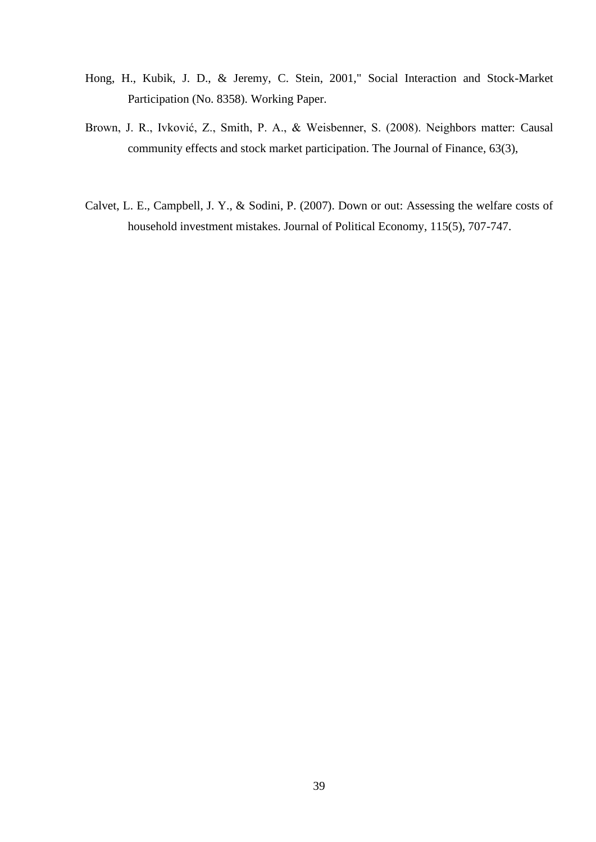- Hong, H., Kubik, J. D., & Jeremy, C. Stein, 2001," Social Interaction and Stock-Market Participation (No. 8358). Working Paper.
- Brown, J. R., Ivković, Z., Smith, P. A., & Weisbenner, S. (2008). Neighbors matter: Causal community effects and stock market participation. The Journal of Finance, 63(3),
- Calvet, L. E., Campbell, J. Y., & Sodini, P. (2007). Down or out: Assessing the welfare costs of household investment mistakes. Journal of Political Economy, 115(5), 707-747.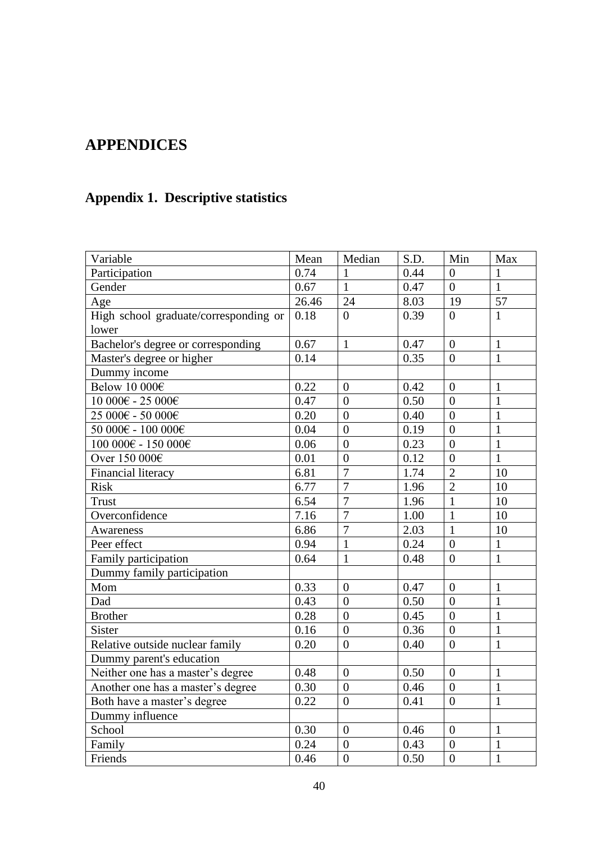# **APPENDICES**

# **Appendix 1. Descriptive statistics**

| Variable                                                                | Mean  | Median           | S.D. | Min              | $\operatorname{Max}$ |
|-------------------------------------------------------------------------|-------|------------------|------|------------------|----------------------|
| Participation                                                           | 0.74  | 1                | 0.44 | $\overline{0}$   | $\mathbf{1}$         |
| Gender                                                                  | 0.67  | $\mathbf{1}$     | 0.47 | $\overline{0}$   | $\mathbf{1}$         |
| Age                                                                     | 26.46 | 24               | 8.03 | 19               | 57                   |
| High school graduate/corresponding or                                   | 0.18  | $\theta$         | 0.39 | $\Omega$         | $\mathbf{1}$         |
| lower                                                                   |       |                  |      |                  |                      |
| Bachelor's degree or corresponding                                      | 0.67  | $\mathbf{1}$     | 0.47 | $\overline{0}$   | $\mathbf{1}$         |
| Master's degree or higher                                               | 0.14  |                  | 0.35 | $\overline{0}$   | $\mathbf{1}$         |
| Dummy income                                                            |       |                  |      |                  |                      |
| Below 10 000€                                                           | 0.22  | $\boldsymbol{0}$ | 0.42 | $\boldsymbol{0}$ | $\mathbf{1}$         |
| $10\ 000€$ - $25\ 000€$                                                 | 0.47  | $\theta$         | 0.50 | $\theta$         | $\mathbf{1}$         |
| 25 000€ - 50 000€                                                       | 0.20  | $\overline{0}$   | 0.40 | $\overline{0}$   | $\overline{1}$       |
| $50000€ - 100000€$                                                      | 0.04  | $\overline{0}$   | 0.19 | $\overline{0}$   | $\overline{1}$       |
| $100\ 000 \mbox{\ensuremath{\in}}$ - $150\ 000 \mbox{\ensuremath{\in}}$ | 0.06  | $\overline{0}$   | 0.23 | $\overline{0}$   | $\overline{1}$       |
| Over 150 000€                                                           | 0.01  | $\overline{0}$   | 0.12 | $\overline{0}$   | $\mathbf{1}$         |
| Financial literacy                                                      | 6.81  | $\overline{7}$   | 1.74 | $\overline{2}$   | 10                   |
| <b>Risk</b>                                                             | 6.77  | $\overline{7}$   | 1.96 | $\overline{2}$   | 10                   |
| <b>Trust</b>                                                            | 6.54  | $\overline{7}$   | 1.96 | $\mathbf{1}$     | 10                   |
| Overconfidence                                                          | 7.16  | $\overline{7}$   | 1.00 | $\mathbf{1}$     | 10                   |
| <b>Awareness</b>                                                        | 6.86  | $\overline{7}$   | 2.03 | $\mathbf{1}$     | 10                   |
| Peer effect                                                             | 0.94  | $\mathbf{1}$     | 0.24 | $\overline{0}$   | $\mathbf{1}$         |
| Family participation                                                    | 0.64  | $\mathbf{1}$     | 0.48 | $\overline{0}$   | $\mathbf{1}$         |
| Dummy family participation                                              |       |                  |      |                  |                      |
| Mom                                                                     | 0.33  | $\overline{0}$   | 0.47 | $\overline{0}$   | $\mathbf{1}$         |
| Dad                                                                     | 0.43  | $\overline{0}$   | 0.50 | $\overline{0}$   | $\mathbf{1}$         |
| <b>Brother</b>                                                          | 0.28  | $\overline{0}$   | 0.45 | $\overline{0}$   | $\mathbf{1}$         |
| Sister                                                                  | 0.16  | $\overline{0}$   | 0.36 | $\overline{0}$   | $\overline{1}$       |
| Relative outside nuclear family                                         | 0.20  | $\overline{0}$   | 0.40 | $\boldsymbol{0}$ | $\overline{1}$       |
| Dummy parent's education                                                |       |                  |      |                  |                      |
| Neither one has a master's degree                                       | 0.48  | $\boldsymbol{0}$ | 0.50 | $\boldsymbol{0}$ | $\mathbf{1}$         |
| Another one has a master's degree                                       | 0.30  | $\overline{0}$   | 0.46 | $\boldsymbol{0}$ | $\mathbf{1}$         |
| Both have a master's degree                                             | 0.22  | $\overline{0}$   | 0.41 | $\overline{0}$   | $\mathbf{1}$         |
| Dummy influence                                                         |       |                  |      |                  |                      |
| School                                                                  | 0.30  | $\overline{0}$   | 0.46 | $\overline{0}$   | $\mathbf{1}$         |
| Family                                                                  | 0.24  | $\boldsymbol{0}$ | 0.43 | $\boldsymbol{0}$ | $\mathbf{1}$         |
| Friends                                                                 | 0.46  | $\overline{0}$   | 0.50 | $\overline{0}$   | $\mathbf{1}$         |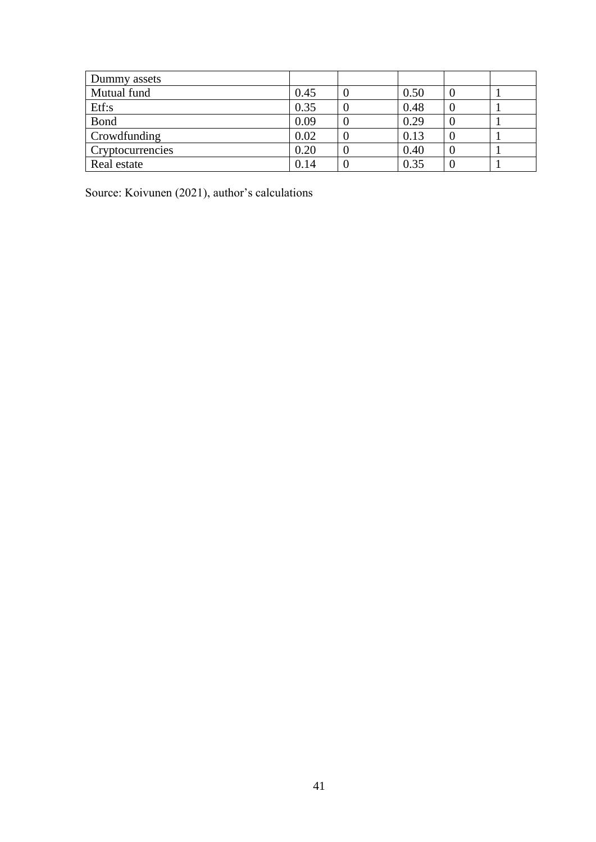| Dummy assets     |      |      |  |
|------------------|------|------|--|
| Mutual fund      | 0.45 | 0.50 |  |
| Etf:s            | 0.35 | 0.48 |  |
| Bond             | 0.09 | 0.29 |  |
| Crowdfunding     | 0.02 | 0.13 |  |
| Cryptocurrencies | 0.20 | 0.40 |  |
| Real estate      | 0.14 | 0.35 |  |

Source: Koivunen (2021), author's calculations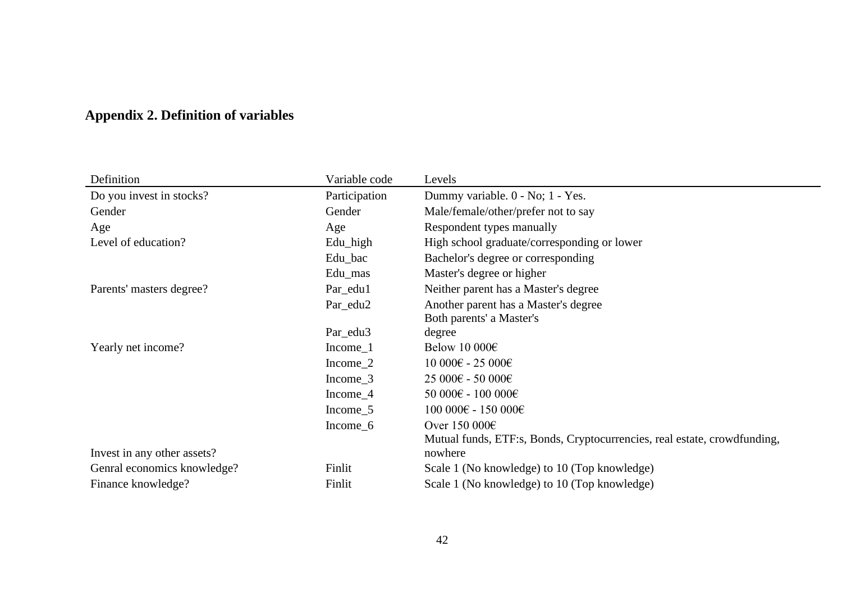## **Appendix 2. Definition of variables**

| Definition                  | Variable code       | Levels                                                                              |
|-----------------------------|---------------------|-------------------------------------------------------------------------------------|
| Do you invest in stocks?    | Participation       | Dummy variable. 0 - No; 1 - Yes.                                                    |
| Gender                      | Gender              | Male/female/other/prefer not to say                                                 |
| Age                         | Age                 | Respondent types manually                                                           |
| Level of education?         | Edu_high            | High school graduate/corresponding or lower                                         |
|                             | Edu_bac             | Bachelor's degree or corresponding                                                  |
|                             | Edu_mas             | Master's degree or higher                                                           |
| Parents' masters degree?    | Par_edu1            | Neither parent has a Master's degree                                                |
|                             | Par_edu2            | Another parent has a Master's degree                                                |
|                             |                     | Both parents' a Master's                                                            |
|                             | Par_edu3            | degree                                                                              |
| Yearly net income?          | $Income_1$          | Below 10 000 $\epsilon$                                                             |
|                             | Income 2            | 10 000€ - 25 000€                                                                   |
|                             | Income 3            | 25 000€ - 50 000€                                                                   |
|                             | Income 4            | 50 000€ - 100 000€                                                                  |
|                             | Income 5            | 100 000€ - 150 000€                                                                 |
|                             | Income <sub>6</sub> | Over $150000 \in$                                                                   |
| Invest in any other assets? |                     | Mutual funds, ETF:s, Bonds, Cryptocurrencies, real estate, crowdfunding,<br>nowhere |
| Genral economics knowledge? | Finlit              | Scale 1 (No knowledge) to 10 (Top knowledge)                                        |
| Finance knowledge?          | Finlit              | Scale 1 (No knowledge) to 10 (Top knowledge)                                        |
|                             |                     |                                                                                     |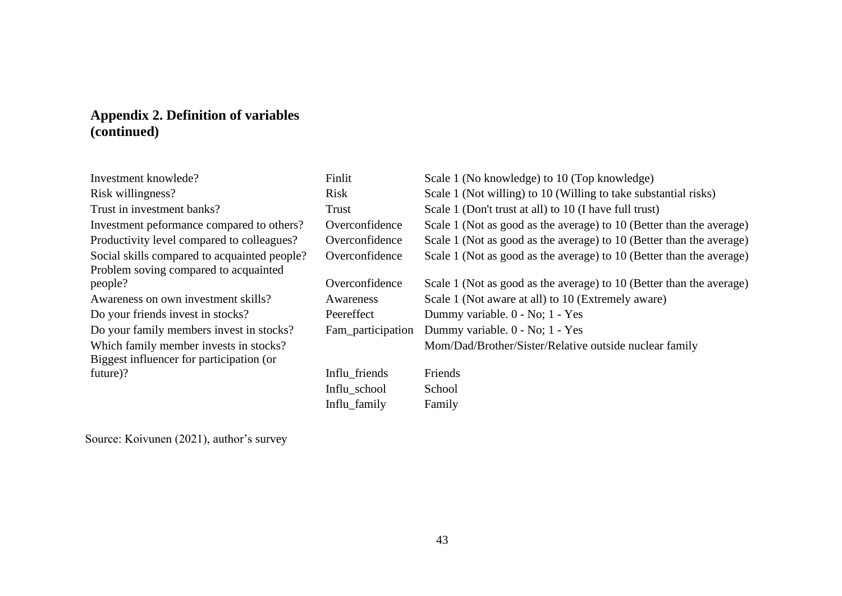## **Appendix 2. Definition of variables (continued)**

| Investment knowlede?                         | Finlit            | Scale 1 (No knowledge) to 10 (Top knowledge)                         |
|----------------------------------------------|-------------------|----------------------------------------------------------------------|
| Risk willingness?                            | Risk              | Scale 1 (Not willing) to 10 (Willing to take substantial risks)      |
| Trust in investment banks?                   | Trust             | Scale 1 (Don't trust at all) to 10 (I have full trust)               |
| Investment peformance compared to others?    | Overconfidence    | Scale 1 (Not as good as the average) to 10 (Better than the average) |
| Productivity level compared to colleagues?   | Overconfidence    | Scale 1 (Not as good as the average) to 10 (Better than the average) |
| Social skills compared to acquainted people? | Overconfidence    | Scale 1 (Not as good as the average) to 10 (Better than the average) |
| Problem soving compared to acquainted        |                   |                                                                      |
| people?                                      | Overconfidence    | Scale 1 (Not as good as the average) to 10 (Better than the average) |
| Awareness on own investment skills?          | Awareness         | Scale 1 (Not aware at all) to 10 (Extremely aware)                   |
|                                              |                   |                                                                      |
| Do your friends invest in stocks?            | Peereffect        | Dummy variable. 0 - No; 1 - Yes                                      |
| Do your family members invest in stocks?     | Fam_participation | Dummy variable. 0 - No; 1 - Yes                                      |
| Which family member invests in stocks?       |                   | Mom/Dad/Brother/Sister/Relative outside nuclear family               |
| Biggest influencer for participation (or     |                   |                                                                      |
| future)?                                     | Influ_friends     | Friends                                                              |
|                                              | Influ_school      | School                                                               |

Source: Koivunen (2021), author's survey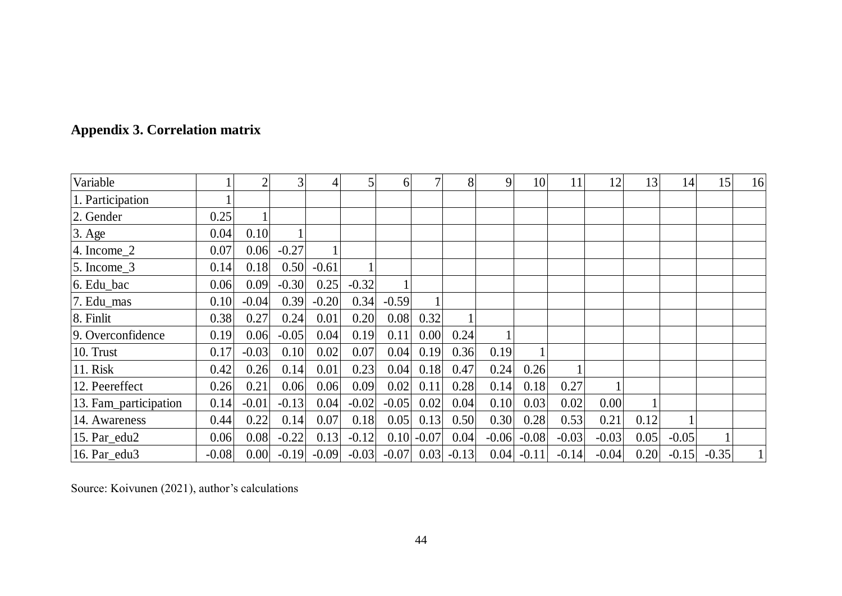|  | <b>Appendix 3. Correlation matrix</b> |  |
|--|---------------------------------------|--|
|--|---------------------------------------|--|

| Variable              |         |         | 3       | 4       | 5       | 6                            | 7            | $\overline{8}$ | 9       | 10           | 11      | 12      | 13   | 14      | 15      | 16       |
|-----------------------|---------|---------|---------|---------|---------|------------------------------|--------------|----------------|---------|--------------|---------|---------|------|---------|---------|----------|
| 1. Participation      |         |         |         |         |         |                              |              |                |         |              |         |         |      |         |         |          |
| 2. Gender             | 0.25    |         |         |         |         |                              |              |                |         |              |         |         |      |         |         |          |
| $3. \text{Age}$       | 0.04    | 0.10    |         |         |         |                              |              |                |         |              |         |         |      |         |         |          |
| $ 4.$ Income $2$      | 0.07    | 0.06    | $-0.27$ |         |         |                              |              |                |         |              |         |         |      |         |         |          |
| $5.$ Income $3$       | 0.14    | 0.18    | 0.50    | $-0.61$ |         |                              |              |                |         |              |         |         |      |         |         |          |
| 6. Edu bac            | 0.06    | 0.09    | $-0.30$ | 0.25    | $-0.32$ |                              |              |                |         |              |         |         |      |         |         |          |
| 7. Edu_mas            | 0.10    | $-0.04$ | 0.39    | $-0.20$ | 0.34    | $-0.59$                      |              |                |         |              |         |         |      |         |         |          |
| 8. Finlit             | 0.38    | 0.27    | 0.24    | 0.01    | 0.20    | 0.08                         | 0.32         |                |         |              |         |         |      |         |         |          |
| 9. Overconfidence     | 0.19    | 0.06    | $-0.05$ | 0.04    | 0.19    | 0.11                         | 0.00         | 0.24           |         |              |         |         |      |         |         |          |
| 10. Trust             | 0.17    | $-0.03$ | 0.10    | 0.02    | 0.07    | 0.04                         | 0.19         | 0.36           | 0.19    |              |         |         |      |         |         |          |
| 11. Risk              | 0.42    | 0.26    | 0.14    | 0.01    | 0.23    | 0.04                         | 0.18         | 0.47           | 0.24    | 0.26         |         |         |      |         |         |          |
| 12. Peereffect        | 0.26    | 0.21    | 0.06    | 0.06    | 0.09    | 0.02                         | 0.11         | 0.28           | 0.14    | 0.18         | 0.27    |         |      |         |         |          |
| 13. Fam_participation | 0.14    | $-0.01$ | $-0.13$ | 0.04    | $-0.02$ | $-0.05$                      | 0.02         | 0.04           | 0.10    | 0.03         | 0.02    | 0.00    |      |         |         |          |
| 14. Awareness         | 0.44    | 0.22    | 0.14    | 0.07    | 0.18    | 0.05                         | 0.13         | 0.50           | 0.30    | 0.28         | 0.53    | 0.21    | 0.12 |         |         |          |
| 15. Par_edu2          | 0.06    | 0.08    | $-0.22$ | 0.13    | $-0.12$ |                              | $0.10$ -0.07 | 0.04           | $-0.06$ | $-0.08$      | $-0.03$ | $-0.03$ | 0.05 | $-0.05$ |         |          |
| 16. Par edu3          | $-0.08$ | 0.00    | $-0.19$ | $-0.09$ |         | $-0.03$ $-0.07$ 0.03 $-0.13$ |              |                |         | $0.04$ -0.11 | $-0.14$ | $-0.04$ | 0.20 | $-0.15$ | $-0.35$ | $1\vert$ |

Source: Koivunen (2021), author's calculations